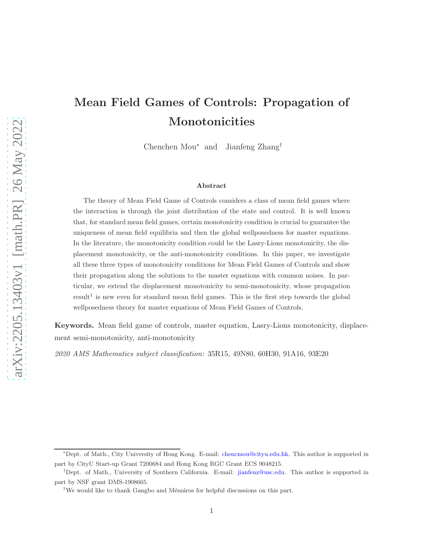# Mean Field Games of Controls: Propagation of Monotonicities

Chenchen Mou<sup>∗</sup> and Jianfeng Zhang†

#### Abstract

The theory of Mean Field Game of Controls considers a class of mean field games where the interaction is through the joint distribution of the state and control. It is well known that, for standard mean field games, certain monotonicity condition is crucial to guarantee the uniqueness of mean field equilibria and then the global wellposedness for master equations. In the literature, the monotonicity condition could be the Lasry-Lions monotonicity, the displacement monotonicity, or the anti-monotonicity conditions. In this paper, we investigate all these three types of monotonicity conditions for Mean Field Games of Controls and show their propagation along the solutions to the master equations with common noises. In particular, we extend the displacement monotonicity to semi-monotonicity, whose propagation  $result<sup>1</sup>$  $result<sup>1</sup>$  $result<sup>1</sup>$  is new even for standard mean field games. This is the first step towards the global wellposedness theory for master equations of Mean Field Games of Controls.

Keywords. Mean field game of controls, master equation, Lasry-Lions monotonicity, displacement semi-monotonicity, anti-monotonicity

*2020 AMS Mathematics subject classification:* 35R15, 49N80, 60H30, 91A16, 93E20

<sup>∗</sup>Dept. of Math., City University of Hong Kong. E-mail: [chencmou@cityu.edu.hk.](mailto:chencmou@cityu.edu.hk) This author is supported in part by CityU Start-up Grant 7200684 and Hong Kong RGC Grant ECS 9048215.

<sup>†</sup>Dept. of Math., University of Southern California. E-mail: [jianfenz@usc.edu.](mailto:jianfenz@usc.edu) This author is supported in part by NSF grant DMS-1908665.

<span id="page-0-0"></span><sup>&</sup>lt;sup>1</sup>We would like to thank Gangbo and Mészáros for helpful discussions on this part.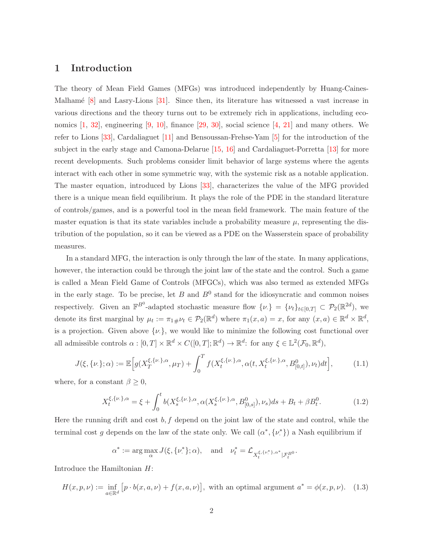### 1 Introduction

The theory of Mean Field Games (MFGs) was introduced independently by Huang-Caines-Malhamé  $[8]$  and Lasry-Lions  $[31]$ . Since then, its literature has witnessed a vast increase in various directions and the theory turns out to be extremely rich in applications, including economics  $[1, 32]$  $[1, 32]$ , engineering  $[9, 10]$  $[9, 10]$ , finance  $[29, 30]$  $[29, 30]$ , social science  $[4, 21]$  $[4, 21]$  and many others. We refer to Lions [\[33\]](#page-31-4), Cardaliaguet [\[11\]](#page-29-4) and Bensoussan-Frehse-Yam [\[5\]](#page-29-5) for the introduction of the subject in the early stage and Camona-Delarue [\[15,](#page-30-1) [16\]](#page-30-2) and Cardaliaguet-Porretta [\[13\]](#page-29-6) for more recent developments. Such problems consider limit behavior of large systems where the agents interact with each other in some symmetric way, with the systemic risk as a notable application. The master equation, introduced by Lions [\[33\]](#page-31-4), characterizes the value of the MFG provided there is a unique mean field equilibrium. It plays the role of the PDE in the standard literature of controls/games, and is a powerful tool in the mean field framework. The main feature of the master equation is that its state variables include a probability measure  $\mu$ , representing the distribution of the population, so it can be viewed as a PDE on the Wasserstein space of probability measures.

In a standard MFG, the interaction is only through the law of the state. In many applications, however, the interaction could be through the joint law of the state and the control. Such a game is called a Mean Field Game of Controls (MFGCs), which was also termed as extended MFGs in the early stage. To be precise, let  $B$  and  $B^0$  stand for the idiosyncratic and common noises respectively. Given an  $\mathbb{F}^{B^0}$ -adapted stochastic measure flow  $\{\nu.\} = {\{\nu_t\}}_{t \in [0,T]} \subset \mathcal{P}_2(\mathbb{R}^{2d})$ , we denote its first marginal by  $\mu_t := \pi_{1\#}\nu_t \in \mathcal{P}_2(\mathbb{R}^d)$  where  $\pi_1(x, a) = x$ , for any  $(x, a) \in \mathbb{R}^d \times \mathbb{R}^d$ , is a projection. Given above  $\{\nu.\}$ , we would like to minimize the following cost functional over all admissible controls  $\alpha : [0, T] \times \mathbb{R}^d \times C([0, T]; \mathbb{R}^d) \to \mathbb{R}^d$ : for any  $\xi \in \mathbb{L}^2(\mathcal{F}_0, \mathbb{R}^d)$ ,

$$
J(\xi, \{\nu.\}; \alpha) := \mathbb{E}\Big[g(X_T^{\xi, \{\nu.\}, \alpha}, \mu_T) + \int_0^T f(X_t^{\xi, \{\nu.\}, \alpha}, \alpha(t, X_t^{\xi, \{\nu.\}, \alpha}, B_{[0, t]}^0), \nu_t)dt\Big],\tag{1.1}
$$

where, for a constant  $\beta \geq 0$ ,

$$
X_t^{\xi,\{\nu,\},\alpha} = \xi + \int_0^t b(X_s^{\xi,\{\nu,\},\alpha}, \alpha(X_s^{\xi,\{\nu,\},\alpha}, B_{[0,s]}^0), \nu_s)ds + B_t + \beta B_t^0. \tag{1.2}
$$

Here the running drift and cost  $b, f$  depend on the joint law of the state and control, while the terminal cost g depends on the law of the state only. We call  $(\alpha^*, {\{\nu^*}\})$  a Nash equilibrium if

$$
\alpha^* := \arg\max_{\alpha} J(\xi, \{\nu^*\}; \alpha), \quad \text{and} \quad \nu_t^* = \mathcal{L}_{X_t^{\xi, \{\nu^*\}, \alpha^*} | \mathcal{F}_t^{B^0}}.
$$

Introduce the Hamiltonian H:

$$
H(x, p, \nu) := \inf_{a \in \mathbb{R}^d} \left[ p \cdot b(x, a, \nu) + f(x, a, \nu) \right],
$$
 with an optimal argument  $a^* = \phi(x, p, \nu)$ . (1.3)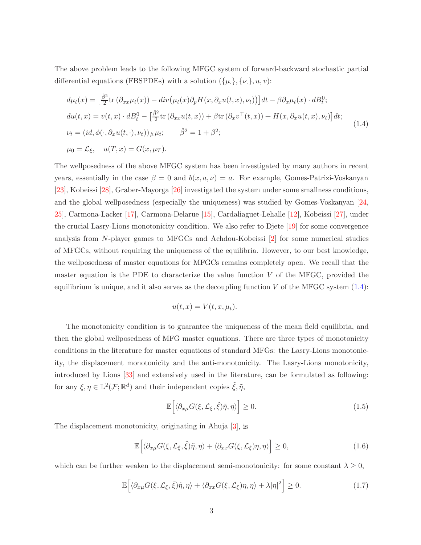The above problem leads to the following MFGC system of forward-backward stochastic partial differential equations (FBSPDEs) with a solution  $({\mu},{\mu},{\nu})$ :

<span id="page-2-0"></span>
$$
d\mu_t(x) = \left[\frac{\hat{\beta}^2}{2}\text{tr}\left(\partial_{xx}\mu_t(x)\right) - \text{div}\left(\mu_t(x)\partial_p H(x, \partial_x u(t, x), \nu_t)\right)\right]dt - \beta\partial_x\mu_t(x) \cdot dB_t^0;
$$
  
\n
$$
du(t, x) = v(t, x) \cdot dB_t^0 - \left[\frac{\hat{\beta}^2}{2}\text{tr}\left(\partial_{xx}u(t, x)\right) + \beta\text{tr}\left(\partial_x v^\top(t, x)\right) + H(x, \partial_x u(t, x), \nu_t)\right]dt;
$$
  
\n
$$
\nu_t = (id, \phi(\cdot, \partial_x u(t, \cdot), \nu_t))_\# \mu_t; \qquad \hat{\beta}^2 = 1 + \beta^2;
$$
  
\n
$$
\mu_0 = \mathcal{L}_\xi, \quad u(T, x) = G(x, \mu_T).
$$
\n(1.4)

The wellposedness of the above MFGC system has been investigated by many authors in recent years, essentially in the case  $\beta = 0$  and  $b(x, a, \nu) = a$ . For example, Gomes-Patrizi-Voskanyan [\[23\]](#page-30-3), Kobeissi [\[28\]](#page-31-5), Graber-Mayorga [\[26\]](#page-30-4) investigated the system under some smallness conditions, and the global wellposedness (especially the uniqueness) was studied by Gomes-Voskanyan [\[24,](#page-30-5) [25\]](#page-30-6), Carmona-Lacker [\[17\]](#page-30-7), Carmona-Delarue [\[15\]](#page-30-1), Cardaliaguet-Lehalle [\[12\]](#page-29-7), Kobeissi [\[27\]](#page-30-8), under the crucial Lasry-Lions monotonicity condition. We also refer to Djete [\[19\]](#page-30-9) for some convergence analysis from N-player games to MFGCs and Achdou-Kobeissi [\[2\]](#page-28-1) for some numerical studies of MFGCs, without requiring the uniqueness of the equilibria. However, to our best knowledge, the wellposedness of master equations for MFGCs remains completely open. We recall that the master equation is the PDE to characterize the value function  $V$  of the MFGC, provided the equilibrium is unique, and it also serves as the decoupling function  $V$  of the MFGC system  $(1.4)$ :

$$
u(t, x) = V(t, x, \mu_t).
$$

The monotonicity condition is to guarantee the uniqueness of the mean field equilibria, and then the global wellposedness of MFG master equations. There are three types of monotonicity conditions in the literature for master equations of standard MFGs: the Lasry-Lions monotonicity, the displacement monotonicity and the anti-monotonicity. The Lasry-Lions monotonicity, introduced by Lions [\[33\]](#page-31-4) and extensively used in the literature, can be formulated as following: for any  $\xi, \eta \in \mathbb{L}^2(\mathcal{F}; \mathbb{R}^d)$  and their independent copies  $\tilde{\xi}, \tilde{\eta}$ ,

$$
\mathbb{E}\Big[\langle \partial_{x\mu} G(\xi,\mathcal{L}_{\xi},\tilde{\xi})\tilde{\eta},\eta \rangle\Big] \ge 0. \tag{1.5}
$$

The displacement monotonicity, originating in Ahuja [\[3\]](#page-29-8), is

$$
\mathbb{E}\Big[\langle \partial_{x\mu}G(\xi,\mathcal{L}_{\xi},\tilde{\xi})\tilde{\eta},\eta\rangle + \langle \partial_{xx}G(\xi,\mathcal{L}_{\xi})\eta,\eta\rangle\Big] \geq 0, \tag{1.6}
$$

which can be further weaken to the displacement semi-monotonicity: for some constant  $\lambda \geq 0$ ,

$$
\mathbb{E}\Big[\langle \partial_{x\mu} G(\xi,\mathcal{L}_{\xi},\tilde{\xi})\tilde{\eta},\eta \rangle + \langle \partial_{xx} G(\xi,\mathcal{L}_{\xi})\eta,\eta \rangle + \lambda |\eta|^2\Big] \ge 0. \tag{1.7}
$$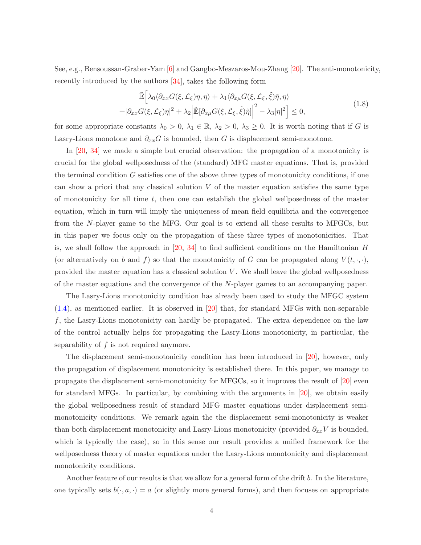See, e.g., Bensoussan-Graber-Yam [\[6\]](#page-29-9) and Gangbo-Meszaros-Mou-Zhang [\[20\]](#page-30-10). The anti-monotonicity, recently introduced by the authors [\[34\]](#page-31-6), takes the following form

$$
\tilde{\mathbb{E}}\Big[\lambda_0 \langle \partial_{xx} G(\xi, \mathcal{L}_{\xi}) \eta, \eta \rangle + \lambda_1 \langle \partial_{x\mu} G(\xi, \mathcal{L}_{\xi}, \tilde{\xi}) \tilde{\eta}, \eta \rangle \n+ |\partial_{xx} G(\xi, \mathcal{L}_{\xi}) \eta|^2 + \lambda_2 \Big|\tilde{\mathbb{E}}[\partial_{x\mu} G(\xi, \mathcal{L}_{\xi}, \tilde{\xi}) \tilde{\eta}]\Big|^2 - \lambda_3 |\eta|^2\Big] \leq 0,
$$
\n(1.8)

for some appropriate constants  $\lambda_0 > 0$ ,  $\lambda_1 \in \mathbb{R}$ ,  $\lambda_2 > 0$ ,  $\lambda_3 \geq 0$ . It is worth noting that if G is Lasry-Lions monotone and  $\partial_{xx}G$  is bounded, then G is displacement semi-monotone.

In [\[20,](#page-30-10) [34\]](#page-31-6) we made a simple but crucial observation: the propagation of a monotonicity is crucial for the global wellposedness of the (standard) MFG master equations. That is, provided the terminal condition G satisfies one of the above three types of monotonicity conditions, if one can show a priori that any classical solution  $V$  of the master equation satisfies the same type of monotonicity for all time  $t$ , then one can establish the global wellposedness of the master equation, which in turn will imply the uniqueness of mean field equilibria and the convergence from the N-player game to the MFG. Our goal is to extend all these results to MFGCs, but in this paper we focus only on the propagation of these three types of monotonicities. That is, we shall follow the approach in [\[20,](#page-30-10) [34\]](#page-31-6) to find sufficient conditions on the Hamiltonian  $H$ (or alternatively on b and f) so that the monotonicity of G can be propagated along  $V(t, \cdot, \cdot)$ , provided the master equation has a classical solution  $V$ . We shall leave the global wellposedness of the master equations and the convergence of the N-player games to an accompanying paper.

The Lasry-Lions monotonicity condition has already been used to study the MFGC system  $(1.4)$ , as mentioned earlier. It is observed in [\[20\]](#page-30-10) that, for standard MFGs with non-separable  $f$ , the Lasry-Lions monotonicity can hardly be propagated. The extra dependence on the law of the control actually helps for propagating the Lasry-Lions monotonicity, in particular, the separability of f is not required anymore.

The displacement semi-monotonicity condition has been introduced in [\[20\]](#page-30-10), however, only the propagation of displacement monotonicity is established there. In this paper, we manage to propagate the displacement semi-monotonicity for MFGCs, so it improves the result of [\[20\]](#page-30-10) even for standard MFGs. In particular, by combining with the arguments in [\[20\]](#page-30-10), we obtain easily the global wellposedness result of standard MFG master equations under displacement semimonotonicity conditions. We remark again the the displacement semi-monotonicity is weaker than both displacement monotonicity and Lasry-Lions monotonicity (provided  $\partial_{xx}V$  is bounded, which is typically the case), so in this sense our result provides a unified framework for the wellposedness theory of master equations under the Lasry-Lions monotonicity and displacement monotonicity conditions.

Another feature of our results is that we allow for a general form of the drift b. In the literature, one typically sets  $b(\cdot, a, \cdot) = a$  (or slightly more general forms), and then focuses on appropriate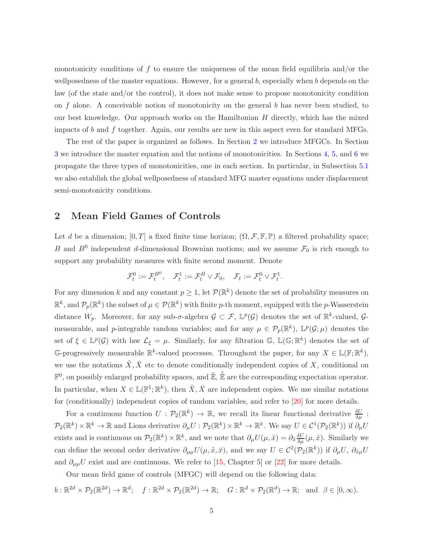monotonicity conditions of f to ensure the uniqueness of the mean field equilibria and/or the wellposedness of the master equations. However, for a general  $b$ , especially when  $b$  depends on the law (of the state and/or the control), it does not make sense to propose monotonicity condition on  $f$  alone. A conceivable notion of monotonicity on the general  $b$  has never been studied, to our best knowledge. Our approach works on the Hamiltonian  $H$  directly, which has the mixed impacts of  $b$  and  $f$  together. Again, our results are new in this aspect even for standard MFGs.

The rest of the paper is organized as follows. In Section [2](#page-4-0) we introduce MFGCs. In Section [3](#page-10-0) we introduce the master equation and the notions of monotonicities. In Sections [4,](#page-13-0) [5,](#page-19-0) and [6](#page-24-0) we propagate the three types of monotonicities, one in each section. In particular, in Subsection [5.1](#page-23-0) we also establish the global wellposedness of standard MFG master equations under displacement semi-monotonicity conditions.

## <span id="page-4-0"></span>2 Mean Field Games of Controls

Let d be a dimension;  $[0, T]$  a fixed finite time horizon;  $(\Omega, \mathcal{F}, \mathbb{F}, \mathbb{P})$  a filtered probability space; B and  $B^0$  independent d-dimensional Brownian motions; and we assume  $\mathcal{F}_0$  is rich enough to support any probability measures with finite second moment. Denote

$$
\mathcal{F}_t^0:=\mathcal{F}_t^{B^0},\quad \mathcal{F}_t^1:=\mathcal{F}_t^B\vee\mathcal{F}_0,\quad \mathcal{F}_t:=\mathcal{F}_t^0\vee\mathcal{F}_t^1.
$$

For any dimension k and any constant  $p \geq 1$ , let  $\mathcal{P}(\mathbb{R}^k)$  denote the set of probability measures on  $\mathbb{R}^k$ , and  $\mathcal{P}_p(\mathbb{R}^k)$  the subset of  $\mu \in \mathcal{P}(\mathbb{R}^k)$  with finite p-th moment, equipped with the p-Wasserstein distance  $W_p$ . Moreover, for any sub- $\sigma$ -algebra  $\mathcal{G} \subset \mathcal{F}$ ,  $\mathbb{L}^p(\mathcal{G})$  denotes the set of  $\mathbb{R}^k$ -valued,  $\mathcal{G}$ measurable, and p-integrable random variables; and for any  $\mu \in \mathcal{P}_p(\mathbb{R}^k)$ ,  $\mathbb{L}^p(\mathcal{G};\mu)$  denotes the set of  $\xi \in \mathbb{L}^p(\mathcal{G})$  with law  $\mathcal{L}_\xi = \mu$ . Similarly, for any filtration  $\mathbb{G}$ ,  $\mathbb{L}(\mathbb{G};\mathbb{R}^k)$  denotes the set of G-progressively measurable  $\mathbb{R}^k$ -valued processes. Throughout the paper, for any  $X \in \mathbb{L}(\mathbb{F}; \mathbb{R}^k)$ , we use the notations  $\tilde{X}, \bar{X}$  etc to denote conditionally independent copies of X, conditional on  $\mathbb{F}^0$ , on possibly enlarged probability spaces, and  $\mathbb{E}, \mathbb{E}$  are the corresponding expectation operator. In particular, when  $X \in \mathbb{L}(\mathbb{F}^1;\mathbb{R}^k)$ , then  $\tilde{X}, \bar{X}$  are independent copies. We use similar notations for (conditionally) independent copies of random variables, and refer to [\[20\]](#page-30-10) for more details.

For a continuous function  $U: \mathcal{P}_2(\mathbb{R}^k) \to \mathbb{R}$ , we recall its linear functional derivative  $\frac{\delta U}{\delta \mu}$ :  $\mathcal{P}_2(\mathbb{R}^k)\times\mathbb{R}^k\to\mathbb{R}$  and Lions derivative  $\partial_\mu U:\mathcal{P}_2(\mathbb{R}^k)\times\mathbb{R}^k\to\mathbb{R}^k$ . We say  $U\in\mathcal{C}^1(\mathcal{P}_2(\mathbb{R}^k))$  if  $\partial_\mu U$ exists and is continuous on  $\mathcal{P}_2(\mathbb{R}^k) \times \mathbb{R}^k$ , and we note that  $\partial_\mu U(\mu, \tilde{x}) = \partial_{\tilde{x}} \frac{\delta U}{\delta \mu}(\mu, \tilde{x})$ . Similarly we can define the second order derivative  $\partial_{\mu\mu}U(\mu, \tilde{x}, \bar{x})$ , and we say  $U \in C^2(\mathcal{P}_2(\mathbb{R}^k))$  if  $\partial_{\mu}U$ ,  $\partial_{\tilde{x}\mu}U$ and  $\partial_{\mu\mu}U$  exist and are continuous. We refer to [\[15,](#page-30-1) Chapter 5] or [\[22\]](#page-30-11) for more details.

Our mean field game of controls (MFGC) will depend on the following data:

$$
b:\mathbb{R}^{2d}\times\mathcal{P}_2(\mathbb{R}^{2d})\to\mathbb{R}^d;\quad f:\mathbb{R}^{2d}\times\mathcal{P}_2(\mathbb{R}^{2d})\to\mathbb{R};\quad G:\mathbb{R}^d\times\mathcal{P}_2(\mathbb{R}^d)\to\mathbb{R};\quad\text{and}\quad\beta\in[0,\infty).
$$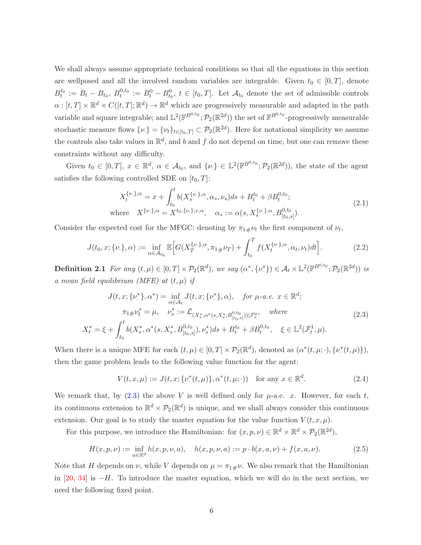We shall always assume appropriate technical conditions so that all the equations in this section are wellposed and all the involved random variables are integrable. Given  $t_0 \in [0, T]$ , denote  $B_t^{t_0} := B_t - B_{t_0}, B_t^{0,t_0} := B_t^0 - B_{t_0}^0, t \in [t_0, T].$  Let  $\mathcal{A}_{t_0}$  denote the set of admissible controls  $\alpha: [t, T] \times \mathbb{R}^d \times C([t, T]; \mathbb{R}^d) \to \mathbb{R}^d$  which are progressively measurable and adapted in the path variable and square integrable; and  $\mathbb{L}^2(\mathbb{F}^{B^{0,t_0}}; \mathcal{P}_2(\mathbb{R}^{2d}))$  the set of  $\mathbb{F}^{B^{0,t_0}}$ -progressively measurable stochastic measure flows  $\{\nu\} = {\{\nu_t\}}_{t \in [t_0,T]} \subset \mathcal{P}_2(\mathbb{R}^{2d})$ . Here for notational simplicity we assume the controls also take values in  $\mathbb{R}^d$ , and b and f do not depend on time, but one can remove these constraints without any difficulty.

Given  $t_0 \in [0,T]$ ,  $x \in \mathbb{R}^d$ ,  $\alpha \in \mathcal{A}_{t_0}$ , and  $\{\nu\}\in \mathbb{L}^2(\mathbb{F}^{B^{0,t_0}};\mathcal{P}_2(\mathbb{R}^{2d}))$ , the state of the agent satisfies the following controlled SDE on  $[t_0, T]$ :

$$
X_t^{\{\nu,\},\alpha} = x + \int_{t_0}^t b(X_s^{\{\nu,\},\alpha},\alpha_s,\nu_s)ds + B_t^{t_0} + \beta B_t^{0,t_0};
$$
  
where 
$$
X^{\{\nu,\},\alpha} = X^{t_0,\{\nu,\};x,\alpha}, \quad \alpha_s := \alpha(s,X_s^{\{\nu,\},\alpha},B_{[t_0,s]}^{0,t_0}).
$$
 (2.1)

Consider the expected cost for the MFGC: denoting by  $\pi_{1\#}\nu_t$  the first component of  $\nu_t$ ,

$$
J(t_0, x; \{\nu.\}, \alpha) := \inf_{\alpha \in \mathcal{A}_{t_0}} \mathbb{E}\Big[G(X_T^{\{\nu.\}, \alpha}, \pi_1 \# \nu_T) + \int_{t_0}^T f(X_t^{\{\nu.\}, \alpha}, \alpha_t, \nu_t) dt\Big].
$$
 (2.2)

**Definition 2.1** For any  $(t, \mu) \in [0, T] \times \mathcal{P}_2(\mathbb{R}^d)$ , we say  $(\alpha^*, {\{\nu^*}\}) \in \mathcal{A}_t \times \mathbb{L}^2(\mathbb{F}^{B^{0,t_0}}; \mathcal{P}_2(\mathbb{R}^{2d}))$  is  $\alpha$  mean field equilibrium (MFE) at  $(t, \mu)$  if

<span id="page-5-0"></span>
$$
J(t, x; \{\nu^*\}, \alpha^*) = \inf_{\alpha \in A_t} J(t, x; \{\nu^*\}, \alpha), \quad \text{for } \mu\text{-}a.e. \ x \in \mathbb{R}^d; \pi_1 \# \nu_t^* = \mu, \quad \nu_s^* := \mathcal{L}_{(X_s^*, \alpha^*(s, X_s^*, B_{[t_0, s]}^{0, t_0)})) | \mathcal{F}_s^0}, \quad \text{where} X_t^* = \xi + \int_{t_0}^t b(X_s^*, \alpha^*(s, X_s^*, B_{[t_0, s]}^{0, t_0}), \nu_s^*) ds + B_t^{t_0} + \beta B_t^{0, t_0}, \quad \xi \in \mathbb{L}^2(\mathcal{F}_t^1, \mu).
$$
\n
$$
(2.3)
$$

When there is a unique MFE for each  $(t, \mu) \in [0, T] \times \mathcal{P}_2(\mathbb{R}^d)$ , denoted as  $(\alpha^*(t, \mu; \cdot), \{\nu^*(t, \mu)\})$ , then the game problem leads to the following value function for the agent:

$$
V(t, x, \mu) := J(t, x; \{\nu^*(t, \mu)\}, \alpha^*(t, \mu; \cdot)) \quad \text{for any } x \in \mathbb{R}^d.
$$
 (2.4)

We remark that, by  $(2.3)$  the above V is well defined only for  $\mu$ -a.e. x. However, for each t, its continuous extension to  $\mathbb{R}^d \times \mathcal{P}_2(\mathbb{R}^d)$  is unique, and we shall always consider this continuous extension. Our goal is to study the master equation for the value function  $V(t, x, \mu)$ .

For this purpose, we introduce the Hamiltonian: for  $(x, p, \nu) \in \mathbb{R}^d \times \mathbb{R}^d \times \mathcal{P}_2(\mathbb{R}^{2d})$ ,

<span id="page-5-2"></span>
$$
H(x, p, \nu) := \inf_{a \in \mathbb{R}^d} h(x, p, \nu, a), \quad h(x, p, \nu, a) := p \cdot b(x, a, \nu) + f(x, a, \nu).
$$
 (2.5)

<span id="page-5-1"></span>Note that H depends on  $\nu$ , while V depends on  $\mu = \pi_{1\#}\nu$ . We also remark that the Hamiltonian in [\[20,](#page-30-10) [34\]](#page-31-6) is  $-H$ . To introduce the master equation, which we will do in the next section, we need the following fixed point.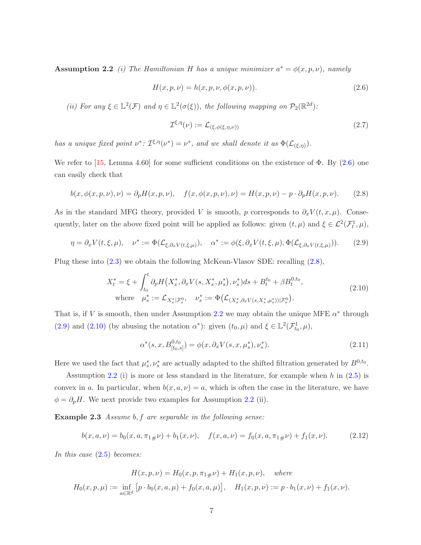**Assumption 2.2** *(i)* The Hamiltonian H has a unique minimizer  $a^* = \phi(x, p, \nu)$ , namely

<span id="page-6-0"></span>
$$
H(x, p, \nu) = h(x, p, \nu, \phi(x, p, \nu)).
$$
\n(2.6)

(*ii*) For any  $\xi \in \mathbb{L}^2(\mathcal{F})$  and  $\eta \in \mathbb{L}^2(\sigma(\xi))$ , the following mapping on  $\mathcal{P}_2(\mathbb{R}^{2d})$ :

$$
\mathcal{I}^{\xi,\eta}(\nu) := \mathcal{L}_{(\xi,\phi(\xi,\eta,\nu))}
$$
\n(2.7)

*has a unique fixed point*  $\nu^*$ :  $\mathcal{I}^{\xi,\eta}(\nu^*) = \nu^*$ , and we shall denote it as  $\Phi(\mathcal{L}_{(\xi,\eta)}).$ 

We refer to [\[15,](#page-30-1) Lemma 4.60] for some sufficient conditions on the existence of  $\Phi$ . By [\(2.6\)](#page-6-0) one can easily check that

<span id="page-6-1"></span>
$$
b(x, \phi(x, p, \nu), \nu) = \partial_p H(x, p, \nu), \quad f(x, \phi(x, p, \nu), \nu) = H(x, p, \nu) - p \cdot \partial_p H(x, p, \nu). \tag{2.8}
$$

As in the standard MFG theory, provided V is smooth, p corresponds to  $\partial_x V(t, x, \mu)$ . Consequently, later on the above fixed point will be applied as follows: given  $(t, \mu)$  and  $\xi \in \mathcal{L}^2(\mathcal{F}_t^1, \mu)$ ,

<span id="page-6-2"></span>
$$
\eta = \partial_x V(t,\xi,\mu), \quad \nu^* := \Phi(\mathcal{L}_{\xi,\partial_x V(t,\xi,\mu)}), \quad \alpha^* := \phi(\xi,\partial_x V(t,\xi,\mu),\Phi(\mathcal{L}_{\xi,\partial_x V(t,\xi,\mu)})). \tag{2.9}
$$

Plug these into [\(2.3\)](#page-5-0) we obtain the following McKean-Vlasov SDE: recalling [\(2.8\)](#page-6-1),

<span id="page-6-3"></span>
$$
X_t^* = \xi + \int_{t_0}^t \partial_p H\big(X_s^*, \partial_x V(s, X_s^*, \mu_s^*) , \nu_s^*\big) ds + B_t^{t_0} + \beta B_t^{0, t_0},
$$
  
where  $\mu_s^* := \mathcal{L}_{X_s^* | \mathcal{F}_s^0}, \quad \nu_s^* := \Phi\big(\mathcal{L}_{(X_s^*, \partial_x V(s, X_s^*, \mu_s^*)) | \mathcal{F}_s^0}\big).$  (2.10)

That is, if V is smooth, then under Assumption [2.2](#page-5-1) we may obtain the unique MFE  $\alpha^*$  through [\(2.9\)](#page-6-2) and [\(2.10\)](#page-6-3) (by abusing the notation  $\alpha^*$ ): given  $(t_0, \mu)$  and  $\xi \in \mathbb{L}^2(\mathcal{F}_{t_0}^1, \mu)$ ,

$$
\alpha^*(s, x, B^{0,t_0}_{[t_0, s]}) = \phi(x, \partial_x V(s, x, \mu_s^*), \nu_s^*).
$$
\n(2.11)

Here we used the fact that  $\mu_s^*, \nu_s^*$  are actually adapted to the shifted filtration generated by  $B^{0,t_0}$ .

Assumption [2.2](#page-5-1) (i) is more or less standard in the literature, for example when  $h$  in  $(2.5)$  is convex in a. In particular, when  $b(x, a, \nu) = a$ , which is often the case in the literature, we have  $\phi = \partial_p H$ . We next provide two examples for Assumption [2.2](#page-5-1) (ii).

Example 2.3 *Assume* b, f *are separable in the following sense:*

$$
b(x, a, \nu) = b_0(x, a, \pi_{1\#}\nu) + b_1(x, \nu), \quad f(x, a, \nu) = f_0(x, a, \pi_{1\#}\nu) + f_1(x, \nu). \tag{2.12}
$$

*In this case* [\(2.5\)](#page-5-2) *becomes:*

$$
H(x, p, \nu) = H_0(x, p, \pi_{1\#}\nu) + H_1(x, p, \nu), \quad \text{where}
$$
  

$$
H_0(x, p, \mu) := \inf_{a \in \mathbb{R}^d} [p \cdot b_0(x, a, \mu) + f_0(x, a, \mu)], \quad H_1(x, p, \nu) := p \cdot b_1(x, \nu) + f_1(x, \nu).
$$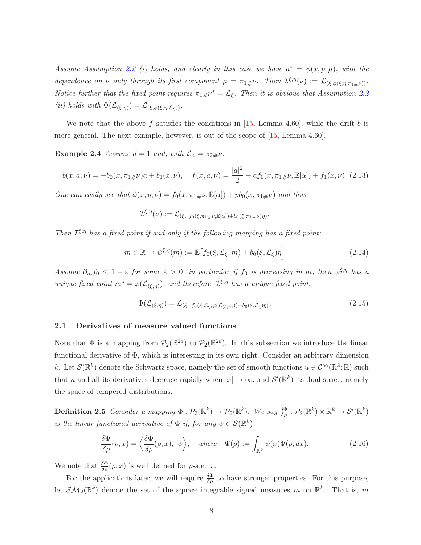*Assume Assumption* [2.2](#page-5-1) (*i*) holds, and clearly in this case we have  $a^* = \phi(x, p, \mu)$ , with the *dependence on*  $\nu$  *only through its first component*  $\mu = \pi_{1\#}\nu$ . Then  $\mathcal{I}^{\xi,\eta}(\nu) := \mathcal{L}_{(\xi,\phi(\xi,\eta,\pi_{1\#}\nu))}$ . *Notice further that the fixed point requires*  $\pi_{1\#}\nu^* = \mathcal{L}_{\xi}$ . Then it is obvious that Assumption [2.2](#page-5-1) (*ii*) holds with  $\Phi(\mathcal{L}_{(\xi,\eta)}) = \mathcal{L}_{(\xi,\phi(\xi,\eta,\mathcal{L}_{\xi}))}$ .

We note that the above f satisfies the conditions in [\[15,](#page-30-1) Lemma 4.60], while the drift b is more general. The next example, however, is out of the scope of [\[15,](#page-30-1) Lemma 4.60].

**Example 2.4** *Assume*  $d = 1$  *and, with*  $\mathcal{L}_{\alpha} = \pi_{2\#}\nu$ ,

<span id="page-7-1"></span>
$$
b(x, a, \nu) = -b_0(x, \pi_1 \# \nu)a + b_1(x, \nu), \quad f(x, a, \nu) = \frac{|a|^2}{2} - af_0(x, \pi_1 \# \nu, \mathbb{E}[\alpha]) + f_1(x, \nu). \tag{2.13}
$$

*One can easily see that*  $\phi(x, p, \nu) = f_0(x, \pi_{1\#}\nu, \mathbb{E}[\alpha]) + pb_0(x, \pi_{1\#}\nu)$  *and thus* 

<span id="page-7-2"></span>
$$
\mathcal{I}^{\xi,\eta}(\nu) := \mathcal{L}_{(\xi, f_0(\xi,\pi_1,\mu\nu,\mathbb{E}[\alpha]) + b_0(\xi,\pi_1,\mu\nu)\eta)}.
$$

*Then*  $\mathcal{I}^{\xi,\eta}$  *has a fixed point if and only if the following mapping has a fixed point:* 

$$
m \in \mathbb{R} \to \psi^{\xi, \eta}(m) := \mathbb{E}\left[f_0(\xi, \mathcal{L}_{\xi}, m) + b_0(\xi, \mathcal{L}_{\xi})\eta\right]
$$
\n(2.14)

*Assume*  $\partial_m f_0 \leq 1 - \varepsilon$  *for some*  $\varepsilon > 0$ , *in particular if*  $f_0$  *is decreasing in m*, *then*  $\psi^{\xi,\eta}$  *has a unique fixed point*  $m^* = \varphi(\mathcal{L}_{(\xi,\eta)}),$  *and therefore,*  $\mathcal{I}^{\xi,\eta}$  *has a unique fixed point:* 

$$
\Phi(\mathcal{L}_{(\xi,\eta)}) = \mathcal{L}_{(\xi, f_0(\xi,\mathcal{L}_{\xi},\varphi(\mathcal{L}_{(\xi,\eta)})) + b_0(\xi,\mathcal{L}_{\xi})\eta)}.
$$
\n(2.15)

#### 2.1 Derivatives of measure valued functions

Note that  $\Phi$  is a mapping from  $\mathcal{P}_2(\mathbb{R}^{2d})$  to  $\mathcal{P}_2(\mathbb{R}^{2d})$ . In this subsection we introduce the linear functional derivative of Φ, which is interesting in its own right. Consider an arbitrary dimension k. Let  $\mathcal{S}(\mathbb{R}^k)$  denote the Schwartz space, namely the set of smooth functions  $u \in C^{\infty}(\mathbb{R}^k;\mathbb{R})$  such that u and all its derivatives decrease rapidly when  $|x| \to \infty$ , and  $\mathcal{S}'(\mathbb{R}^k)$  its dual space, namely the space of tempered distributions.

**Definition 2.5** *Consider a mapping*  $\Phi : \mathcal{P}_2(\mathbb{R}^k) \to \mathcal{P}_2(\mathbb{R}^k)$ *. We say*  $\frac{\delta \Phi}{\delta \rho} : \mathcal{P}_2(\mathbb{R}^k) \times \mathbb{R}^k \to \mathcal{S}'(\mathbb{R}^k)$ *is the linear functional derivative of*  $\Phi$  *if, for any*  $\psi \in \mathcal{S}(\mathbb{R}^k)$ ,

<span id="page-7-0"></span>
$$
\frac{\delta\Psi}{\delta\rho}(\rho,x) = \left\langle \frac{\delta\Phi}{\delta\rho}(\rho,x), \psi \right\rangle, \quad where \quad \Psi(\rho) := \int_{\mathbb{R}^k} \psi(x)\Phi(\rho;dx). \tag{2.16}
$$

We note that  $\frac{\delta \Phi}{\delta \rho}(\rho, x)$  is well defined for  $\rho$ -a.e. x.

For the applications later, we will require  $\frac{\delta \Phi}{\delta \rho}$  to have stronger properties. For this purpose, let  $\mathcal{SM}_2(\mathbb{R}^k)$  denote the set of the square integrable signed measures m on  $\mathbb{R}^k$ . That is, m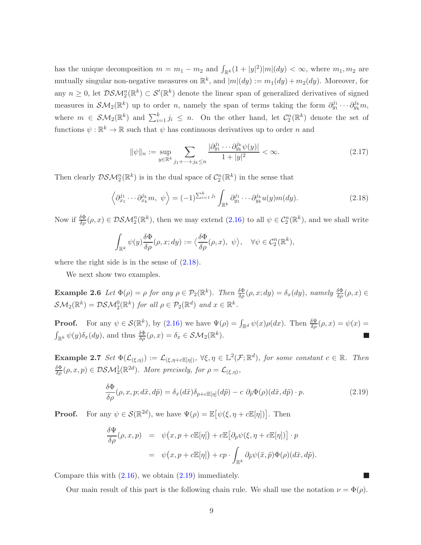has the unique decomposition  $m = m_1 - m_2$  and  $\int_{\mathbb{R}^k} (1 + |y|^2) |m|(dy) < \infty$ , where  $m_1, m_2$  are mutually singular non-negative measures on  $\mathbb{R}^k$ , and  $|m|(dy) := m_1(dy) + m_2(dy)$ . Moreover, for any  $n \geq 0$ , let  $DSM_2^n(\mathbb{R}^k) \subset S'(\mathbb{R}^k)$  denote the linear span of generalized derivatives of signed measures in  $\mathcal{SM}_2(\mathbb{R}^k)$  up to order n, namely the span of terms taking the form  $\partial_{y_1}^{j_1}\cdots\partial_{y_k}^{j_k}m$ , where  $m \in \mathcal{SM}_2(\mathbb{R}^k)$  and  $\sum_{i=1}^k j_i \leq n$ . On the other hand, let  $\mathcal{C}_2^n(\mathbb{R}^k)$  denote the set of functions  $\psi: \mathbb{R}^k \to \mathbb{R}$  such that  $\psi$  has continuous derivatives up to order n and

<span id="page-8-2"></span>
$$
\|\psi\|_{n} := \sup_{y \in \mathbb{R}^k} \sum_{j_1 + \dots + j_k \le n} \frac{|\partial y_1^{j_1} \cdots \partial y_k^{j_k} \psi(y)|}{1 + |y|^2} < \infty. \tag{2.17}
$$

Then clearly  $\mathcal{DSM}^n_2(\mathbb{R}^k)$  is in the dual space of  $\mathcal{C}^n_2(\mathbb{R}^k)$  in the sense that

<span id="page-8-0"></span>
$$
\left\langle \partial_{x_1}^{j_1} \cdots \partial_{x_k}^{j_k} m, \psi \right\rangle = (-1)^{\sum_{i=1}^k j_i} \int_{\mathbb{R}^k} \partial_{y_1}^{j_1} \cdots \partial_{y_k}^{j_k} u(y) m(dy). \tag{2.18}
$$

Now if  $\frac{\delta \Phi}{\delta \rho}(\rho, x) \in \mathcal{DSM}_2^n(\mathbb{R}^k)$ , then we may extend  $(2.16)$  to all  $\psi \in C_2^n(\mathbb{R}^k)$ , and we shall write

$$
\int_{\mathbb{R}^k} \psi(y) \frac{\delta \Phi}{\delta \rho}(\rho, x; dy) := \langle \frac{\delta \Phi}{\delta \rho}(\rho, x), \psi \rangle, \quad \forall \psi \in C_2^n(\mathbb{R}^k),
$$

where the right side is in the sense of  $(2.18)$ .

We next show two examples.

**Example 2.6** Let  $\Phi(\rho) = \rho$  for any  $\rho \in \mathcal{P}_2(\mathbb{R}^k)$ . Then  $\frac{\delta \Phi}{\delta \rho}(\rho, x; dy) = \delta_x(dy)$ , namely  $\frac{\delta \Phi}{\delta \rho}(\rho, x) \in$  $\mathcal{SM}_2(\mathbb{R}^k) = \mathcal{DSM}_2^0(\mathbb{R}^k)$  for all  $\rho \in \mathcal{P}_2(\mathbb{R}^d)$  and  $x \in \mathbb{R}^k$ .

<span id="page-8-4"></span>**Proof.** For any  $\psi \in \mathcal{S}(\mathbb{R}^k)$ , by [\(2.16\)](#page-7-0) we have  $\Psi(\rho) = \int_{\mathbb{R}^d} \psi(x) \rho(dx)$ . Then  $\frac{\delta \Psi}{\delta \rho}(\rho, x) = \psi(x) = \psi(x)$  $\int_{\mathbb{R}^k} \psi(y) \delta_x(dy)$ , and thus  $\frac{\delta \Phi}{\delta \rho}(\rho, x) = \delta_x \in \mathcal{SM}_2(\mathbb{R}^k)$ .

Example 2.7 *Set*  $\Phi(\mathcal{L}_{(\xi,\eta)}) := \mathcal{L}_{(\xi,\eta+\epsilon \mathbb{E}[\eta])}$ ,  $\forall \xi, \eta \in \mathbb{L}^2(\mathcal{F}; \mathbb{R}^d)$ , for some constant  $c \in \mathbb{R}$ . Then  $\frac{\delta \Phi}{\delta \rho}(\rho, x, p) \in \mathcal{DSM}_2^1(\mathbb{R}^{2d})$ . More precisely, for  $\rho = \mathcal{L}_{(\xi, \eta)},$ 

<span id="page-8-1"></span>
$$
\frac{\delta\Phi}{\delta\rho}(\rho, x, p; d\tilde{x}, d\tilde{p}) = \delta_x(d\tilde{x})\delta_{p+c\mathbb{E}[\eta]}(d\tilde{p}) - c \partial_{\tilde{p}}\Phi(\rho)(d\tilde{x}, d\tilde{p}) \cdot p.
$$
\n(2.19)

**Proof.** For any  $\psi \in \mathcal{S}(\mathbb{R}^{2d})$ , we have  $\Psi(\rho) = \mathbb{E}[\psi(\xi, \eta + c\mathbb{E}[\eta])]$ . Then

<span id="page-8-3"></span>
$$
\frac{\delta \Psi}{\delta \rho}(\rho, x, p) = \psi(x, p + c \mathbb{E}[\eta]) + c \mathbb{E}[\partial_p \psi(\xi, \eta + c \mathbb{E}[\eta])] \cdot p
$$
  

$$
= \psi(x, p + c \mathbb{E}[\eta]) + cp \cdot \int_{\mathbb{R}^k} \partial_{\tilde{p}} \psi(\tilde{x}, \tilde{p}) \Phi(\rho) (d\tilde{x}, d\tilde{p}).
$$

Compare this with  $(2.16)$ , we obtain  $(2.19)$  immediately.

Our main result of this part is the following chain rule. We shall use the notation  $\nu = \Phi(\rho)$ .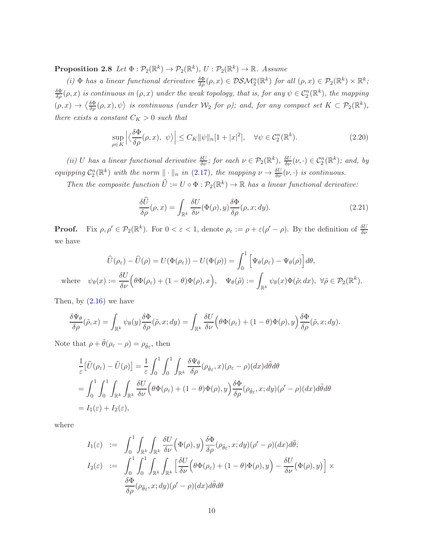$\textbf{Proposition 2.8} \ \textit{Let} \ \Phi : \mathcal{P}_2(\mathbb{R}^k) \to \mathcal{P}_2(\mathbb{R}^k), \ U : \mathcal{P}_2(\mathbb{R}^k) \to \mathbb{R}. \ \textit{Assume}$ 

(*i*)  $\Phi$  *has a linear functional derivative*  $\frac{\delta \Phi}{\delta \rho}(\rho, x) \in \mathcal{DSM}_2^n(\mathbb{R}^k)$  *for all*  $(\rho, x) \in \mathcal{P}_2(\mathbb{R}^k) \times \mathbb{R}^k$ ;  $\frac{\delta \Phi}{\delta \rho}(\rho, x)$  *is continuous in*  $(\rho, x)$  *under the weak topology, that is, for any*  $\psi \in C_2^n(\mathbb{R}^k)$ *, the mapping*  $(\rho, x) \rightarrow \langle \frac{\delta \Phi}{\delta \rho}(\rho, x), \psi \rangle$  is continuous (under  $\mathcal{W}_2$  for  $\rho$ ); and, for any compact set  $K \subset \mathcal{P}_2(\mathbb{R}^k)$ , *there exists a constant*  $C_K > 0$  *such that* 

<span id="page-9-0"></span>
$$
\sup_{\rho \in K} \left| \left\langle \frac{\delta \Phi}{\delta \rho}(\rho, x), \psi \right\rangle \right| \le C_K \|\psi\|_n [1 + |x|^2], \quad \forall \psi \in C_2^n(\mathbb{R}^k). \tag{2.20}
$$

(*ii*) *U* has a linear functional derivative  $\frac{\delta U}{\delta \nu}$ ; for each  $\nu \in \mathcal{P}_2(\mathbb{R}^k)$ ,  $\frac{\delta U}{\delta \nu}(\nu, \cdot) \in C_2^n(\mathbb{R}^k)$ ; and, by *equipping*  $C_2^n(\mathbb{R}^k)$  *with the norm*  $\|\cdot\|_n$  *in* [\(2.17\)](#page-8-2)*, the mapping*  $\nu \to \frac{\delta U}{\delta \nu}(\nu, \cdot)$  *is continuous.* 

*Then the composite function*  $\hat{U} := U \circ \Phi : \mathcal{P}_2(\mathbb{R}^k) \to \mathbb{R}$  *has a linear functional derivative:* 

<span id="page-9-1"></span>
$$
\frac{\delta \widehat{U}}{\delta \rho}(\rho, x) = \int_{\mathbb{R}^k} \frac{\delta U}{\delta \nu}(\Phi(\rho), y) \frac{\delta \Phi}{\delta \rho}(\rho, x; dy). \tag{2.21}
$$

**Proof.** Fix  $\rho, \rho' \in \mathcal{P}_2(\mathbb{R}^k)$ . For  $0 < \varepsilon < 1$ , denote  $\rho_{\varepsilon} := \rho + \varepsilon(\rho' - \rho)$ . By the definition of  $\frac{\delta U}{\delta \nu}$ we have

$$
\widehat{U}(\rho_{\varepsilon}) - \widehat{U}(\rho) = U(\Phi(\rho_{\varepsilon})) - U(\Phi(\rho)) = \int_0^1 \left[ \Psi_{\theta}(\rho_{\varepsilon}) - \Psi_{\theta}(\rho) \right] d\theta,
$$
  
where  $\psi_{\theta}(x) := \frac{\delta U}{\delta \nu} \left( \theta \Phi(\rho_{\varepsilon}) + (1 - \theta) \Phi(\rho), x \right), \quad \Psi_{\theta}(\tilde{\rho}) := \int_{\mathbb{R}^k} \psi_{\theta}(x) \Phi(\tilde{\rho}; dx), \ \forall \tilde{\rho} \in \mathcal{P}_2(\mathbb{R}^k).$ 

Then, by  $(2.16)$  we have

$$
\frac{\delta\Psi_{\theta}}{\delta\rho}(\tilde{\rho},x) = \int_{\mathbb{R}^k} \psi_{\theta}(y) \frac{\delta\Phi}{\delta\rho}(\tilde{\rho},x;dy) = \int_{\mathbb{R}^k} \frac{\delta U}{\delta\nu} \Big(\theta\Phi(\rho_{\varepsilon}) + (1-\theta)\Phi(\rho),y\Big) \frac{\delta\Phi}{\delta\rho}(\tilde{\rho},x;dy).
$$

Note that  $\rho + \tilde{\theta}(\rho_{\varepsilon} - \rho) = \rho_{\tilde{\theta}\varepsilon}$ , then

$$
\frac{1}{\varepsilon} \left[ \widehat{U}(\rho_{\varepsilon}) - \widehat{U}(\rho) \right] = \frac{1}{\varepsilon} \int_0^1 \int_0^1 \int_{\mathbb{R}^k} \frac{\delta \Psi_{\theta}}{\delta \rho} (\rho_{\tilde{\theta}\varepsilon}, x) (\rho_{\varepsilon} - \rho) (dx) d\tilde{\theta} d\theta
$$
\n
$$
= \int_0^1 \int_0^1 \int_{\mathbb{R}^k} \int_{\mathbb{R}^k} \frac{\delta U}{\delta \nu} \Big( \theta \Phi(\rho_{\varepsilon}) + (1 - \theta) \Phi(\rho), y \Big) \frac{\delta \Phi}{\delta \rho} (\rho_{\tilde{\theta}\varepsilon}, x; dy) (\rho' - \rho) (dx) d\tilde{\theta} d\theta
$$
\n
$$
= I_1(\varepsilon) + I_2(\varepsilon),
$$

where

$$
I_1(\varepsilon) := \int_0^1 \int_{\mathbb{R}^k} \int_{\mathbb{R}^k} \frac{\delta U}{\delta \nu} \Big( \Phi(\rho), y \Big) \frac{\delta \Phi}{\delta \rho} (\rho_{\tilde{\theta}\varepsilon}, x; dy) (\rho' - \rho)(dx) d\tilde{\theta};
$$
  
\n
$$
I_2(\varepsilon) := \int_0^1 \int_0^1 \int_{\mathbb{R}^k} \int_{\mathbb{R}^k} \Big[ \frac{\delta U}{\delta \nu} \Big( \theta \Phi(\rho_{\varepsilon}) + (1 - \theta) \Phi(\rho), y \Big) - \frac{\delta U}{\delta \nu} \Big( \Phi(\rho), y \Big) \Big] \times
$$
  
\n
$$
\frac{\delta \Phi}{\delta \rho} (\rho_{\tilde{\theta}\varepsilon}, x; dy) (\rho' - \rho)(dx) d\tilde{\theta} d\theta
$$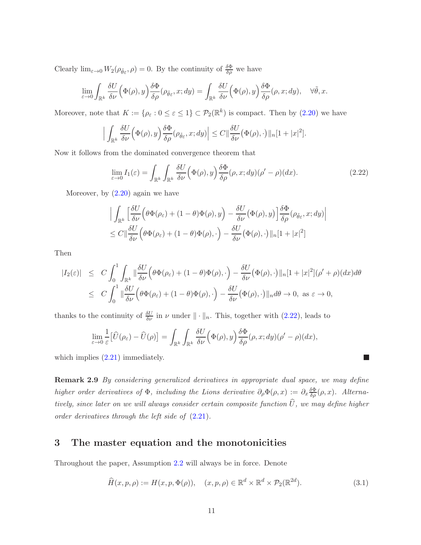Clearly  $\lim_{\varepsilon \to 0} W_2(\rho_{\tilde{\theta}\varepsilon}, \rho) = 0$ . By the continuity of  $\frac{\delta \Phi}{\delta \rho}$  we have

$$
\lim_{\varepsilon \to 0} \int_{\mathbb{R}^k} \frac{\delta U}{\delta \nu} \Big( \Phi(\rho), y \Big) \frac{\delta \Phi}{\delta \rho} (\rho_{\tilde{\theta}\varepsilon}, x; dy) = \int_{\mathbb{R}^k} \frac{\delta U}{\delta \nu} \Big( \Phi(\rho), y \Big) \frac{\delta \Phi}{\delta \rho} (\rho, x; dy), \quad \forall \tilde{\theta}, x.
$$

Moreover, note that  $K := \{ \rho_{\varepsilon} : 0 \leq \varepsilon \leq 1 \} \subset \mathcal{P}_2(\mathbb{R}^k)$  is compact. Then by  $(2.20)$  we have

$$
\Big|\int_{\mathbb{R}^k}\frac{\delta U}{\delta \nu}\Big(\Phi(\rho),y\Big)\frac{\delta \Phi}{\delta \rho}(\rho_{\tilde{\theta}\varepsilon},x;dy)\Big|\leq C\|\frac{\delta U}{\delta \nu}\big(\Phi(\rho),\cdot\big)\|_n[1+|x|^2].
$$

Now it follows from the dominated convergence theorem that

<span id="page-10-1"></span>
$$
\lim_{\varepsilon \to 0} I_1(\varepsilon) = \int_{\mathbb{R}^k} \int_{\mathbb{R}^k} \frac{\delta U}{\delta \nu} \Big( \Phi(\rho), y \Big) \frac{\delta \Phi}{\delta \rho} (\rho, x; dy) (\rho' - \rho)(dx). \tag{2.22}
$$

Moreover, by  $(2.20)$  again we have

$$
\left| \int_{\mathbb{R}^k} \left[ \frac{\delta U}{\delta \nu} \Big( \theta \Phi(\rho_{\varepsilon}) + (1 - \theta) \Phi(\rho), y \Big) - \frac{\delta U}{\delta \nu} \Big( \Phi(\rho), y \Big) \right] \frac{\delta \Phi}{\delta \rho} (\rho_{\tilde{\theta}\varepsilon}, x; dy) \right|
$$
  

$$
\leq C \|\frac{\delta U}{\delta \nu} \Big( \theta \Phi(\rho_{\varepsilon}) + (1 - \theta) \Phi(\rho), \cdot \Big) - \frac{\delta U}{\delta \nu} \Big( \Phi(\rho), \cdot \Big) \|_{n} [1 + |x|^2]
$$

Then

$$
|I_2(\varepsilon)| \leq C \int_0^1 \int_{\mathbb{R}^k} \|\frac{\delta U}{\delta \nu} \Big( \theta \Phi(\rho_{\varepsilon}) + (1 - \theta) \Phi(\rho), \cdot \Big) - \frac{\delta U}{\delta \nu} \Big( \Phi(\rho), \cdot \Big) \|_n [1 + |x|^2] (\rho' + \rho)(dx) d\theta
$$
  

$$
\leq C \int_0^1 \|\frac{\delta U}{\delta \nu} \Big( \theta \Phi(\rho_{\varepsilon}) + (1 - \theta) \Phi(\rho), \cdot \Big) - \frac{\delta U}{\delta \nu} \Big( \Phi(\rho), \cdot \Big) \|_n d\theta \to 0, \text{ as } \varepsilon \to 0,
$$

thanks to the continuity of  $\frac{\delta U}{\delta \nu}$  in  $\nu$  under  $\|\cdot\|_n$ . This, together with [\(2.22\)](#page-10-1), leads to

$$
\lim_{\varepsilon \to 0} \frac{1}{\varepsilon} \big[ \widehat{U}(\rho_{\varepsilon}) - \widehat{U}(\rho) \big] = \int_{\mathbb{R}^k} \int_{\mathbb{R}^k} \frac{\delta U}{\delta \nu} \Big( \Phi(\rho), y \Big) \frac{\delta \Phi}{\delta \rho} (\rho, x; dy) (\rho' - \rho) (dx),
$$

<span id="page-10-2"></span>which implies  $(2.21)$  immediately.

Remark 2.9 *By considering generalized derivatives in appropriate dual space, we may define higher order derivatives of*  $\Phi$ *, including the Lions derivative*  $\partial_{\rho} \Phi(\rho, x) := \partial_x \frac{\delta \Phi}{\delta \rho}(\rho, x)$ *. Alternatively, since later on we will always consider certain composite function*  $\widehat{U}$ *, we may define higher order derivatives through the left side of* [\(2.21\)](#page-9-1)*.*

## <span id="page-10-0"></span>3 The master equation and the monotonicities

Throughout the paper, Assumption [2.2](#page-5-1) will always be in force. Denote

$$
\widehat{H}(x,p,\rho) := H(x,p,\Phi(\rho)), \quad (x,p,\rho) \in \mathbb{R}^d \times \mathbb{R}^d \times \mathcal{P}_2(\mathbb{R}^{2d}). \tag{3.1}
$$

 $\overline{\mathcal{L}}$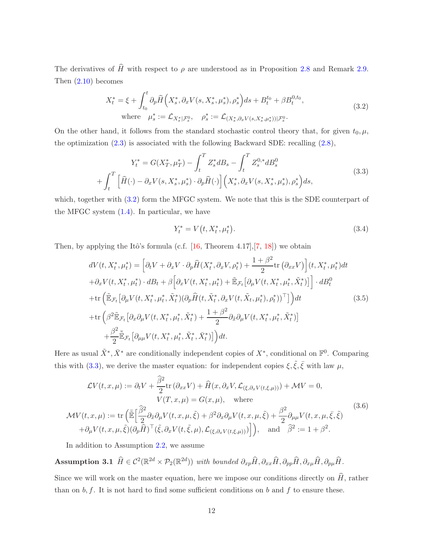The derivatives of  $\hat{H}$  with respect to  $\rho$  are understood as in Proposition [2.8](#page-8-3) and Remark [2.9.](#page-10-2) Then [\(2.10\)](#page-6-3) becomes

<span id="page-11-0"></span>
$$
X_t^* = \xi + \int_{t_0}^t \partial_p \widehat{H} \left( X_s^*, \partial_x V(s, X_s^*, \mu_s^*), \rho_s^* \right) ds + B_t^{t_0} + \beta B_t^{0, t_0},
$$
  
where  $\mu_s^* := \mathcal{L}_{X_s^* | \mathcal{F}_s^0}, \quad \rho_s^* := \mathcal{L}_{(X_s^*, \partial_x V(s, X_s^*, \mu_s^*)) | \mathcal{F}_s^0}.$  (3.2)

On the other hand, it follows from the standard stochastic control theory that, for given  $t_0, \mu$ , the optimization [\(2.3\)](#page-5-0) is associated with the following Backward SDE: recalling [\(2.8\)](#page-6-1),

<span id="page-11-1"></span>
$$
Y_t^* = G(X_T^*, \mu_T^*) - \int_t^T Z_s^* dB_s - \int_t^T Z_s^{0,*} dB_s^0
$$
  
+ 
$$
\int_t^T \left[ \hat{H}(\cdot) - \partial_x V(s, X_s^*, \mu_s^*) \cdot \partial_p \hat{H}(\cdot) \right] \left( X_s^*, \partial_x V(s, X_s^*, \mu_s^*) , \rho_s^* \right) ds,
$$
(3.3)

which, together with  $(3.2)$  form the MFGC system. We note that this is the SDE counterpart of the MFGC system  $(1.4)$ . In particular, we have

$$
Y_t^* = V(t, X_t^*, \mu_t^*). \tag{3.4}
$$

Then, by applying the Itô's formula (c.f.  $[16,$  Theorem 4.17],  $[7, 18]$  $[7, 18]$  $[7, 18]$ ) we obtain

$$
dV(t, X_t^*, \mu_t^*) = \left[\partial_t V + \partial_x V \cdot \partial_p \widehat{H}(X_t^*, \partial_x V, \rho_t^*) + \frac{1+\beta^2}{2} \text{tr}\left(\partial_{xx} V\right)\right](t, X_t^*, \mu_t^*)dt
$$
  
+  $\partial_x V(t, X_t^*, \mu_t^*) \cdot dB_t + \beta \left[\partial_x V(t, X_t^*, \mu_t^*) + \mathbb{E}_{\mathcal{F}_t}\left[\partial_\mu V(t, X_t^*, \mu_t^*, \tilde{X}_t^*)\right]\right] \cdot dB_t^0$   
+  $\text{tr}\left(\mathbb{E}_{\mathcal{F}_t}\left[\partial_\mu V(t, X_t^*, \mu_t^*, \tilde{X}_t^*)(\partial_p \widehat{H}(t, \tilde{X}_t^*, \partial_x V(t, \tilde{X}_t, \mu_t^*), \rho_t^*))^\top\right]\right)dt$  (3.5)  
+  $\text{tr}\left(\beta^2 \mathbb{E}_{\mathcal{F}_t}\left[\partial_x \partial_\mu V(t, X_t^*, \mu_t^*, \tilde{X}_t^*) + \frac{1+\beta^2}{2} \partial_{\tilde{x}} \partial_\mu V(t, X_t^*, \mu_t^*, \tilde{X}_t^*)\right]\right)$   
+  $\frac{\beta^2}{2} \mathbb{E}_{\mathcal{F}_t}\left[\partial_{\mu\mu} V(t, X_t^*, \mu_t^*, \tilde{X}_t^*, \bar{X}_t^*)\right]dt.$ 

Here as usual  $\tilde{X}^*, \bar{X}^*$  are conditionally independent copies of  $X^*$ , conditional on  $\mathbb{F}^0$ . Comparing this with [\(3.3\)](#page-11-1), we derive the master equation: for independent copies  $\xi, \tilde{\xi}, \bar{\xi}$  with law  $\mu$ ,

<span id="page-11-2"></span>
$$
\mathcal{L}V(t,x,\mu) := \partial_t V + \frac{\widehat{\beta}^2}{2} \text{tr} \left( \partial_{xx} V \right) + \widehat{H}(x, \partial_x V, \mathcal{L}_{(\xi, \partial_x V(t, \xi, \mu))}) + \mathcal{M}V = 0,
$$
  
\n
$$
V(T, x, \mu) = G(x, \mu), \quad \text{where}
$$
  
\n
$$
\mathcal{M}V(t, x, \mu) := \text{tr} \left( \frac{\widehat{\mathbb{E}}}{2} \partial_{\widehat{x}} \partial_{\mu} V(t, x, \mu, \xi) + \beta^2 \partial_x \partial_{\mu} V(t, x, \mu, \xi) + \frac{\beta^2}{2} \partial_{\mu \mu} V(t, x, \mu, \xi, \xi) \right)
$$
  
\n
$$
+ \partial_{\mu} V(t, x, \mu, \xi) (\partial_p \widehat{H})^\top (\xi, \partial_x V(t, \xi, \mu), \mathcal{L}_{(\xi, \partial_x V(t, \xi, \mu))}) \Big], \quad \text{and} \quad \widehat{\beta}^2 := 1 + \beta^2.
$$
\n(3.6)

<span id="page-11-3"></span>In addition to Assumption [2.2,](#page-5-1) we assume

 $\textbf{Assumption 3.1} \quad \widehat{H} \in \mathcal{C}^2(\mathbb{R}^{2d} \times \mathcal{P}_2(\mathbb{R}^{2d})) \text{ with bounded } \partial_{xp}\widehat{H}, \partial_{xx}\widehat{H}, \partial_{pp}\widehat{H}, \partial_{x\mu}\widehat{H}, \partial_{p\mu}\widehat{H}.$ 

Since we will work on the master equation, here we impose our conditions directly on  $\widehat{H}$ , rather than on  $b, f$ . It is not hard to find some sufficient conditions on  $b$  and  $f$  to ensure these.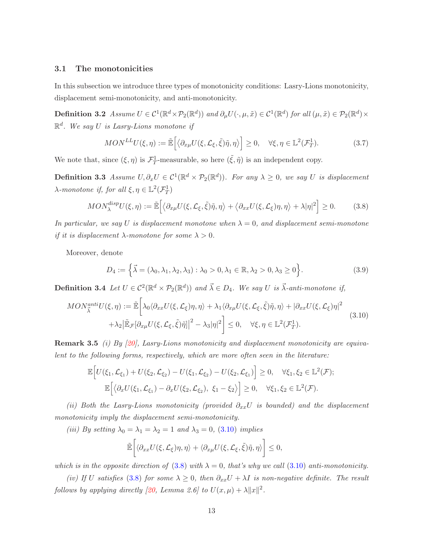#### 3.1 The monotonicities

In this subsection we introduce three types of monotonicity conditions: Lasry-Lions monotonicity, displacement semi-monotonicity, and anti-monotonicity.

**Definition 3.2** Assume  $U \in C^1(\mathbb{R}^d \times \mathcal{P}_2(\mathbb{R}^d))$  and  $\partial_\mu U(\cdot, \mu, \tilde{x}) \in C^1(\mathbb{R}^d)$  for all  $(\mu, \tilde{x}) \in \mathcal{P}_2(\mathbb{R}^d) \times$ R d *. We say* U *is Lasry-Lions monotone if*

<span id="page-12-2"></span>
$$
MON^{LL}U(\xi, \eta) := \tilde{\mathbb{E}}\Big[\big\langle \partial_{x\mu} U(\xi, \mathcal{L}_{\xi}, \tilde{\xi})\tilde{\eta}, \eta \big\rangle \Big] \ge 0, \quad \forall \xi, \eta \in \mathbb{L}^2(\mathcal{F}_T^1). \tag{3.7}
$$

We note that, since  $(\xi, \eta)$  is  $\mathcal{F}_T^1$ -measurable, so here  $(\tilde{\xi}, \tilde{\eta})$  is an independent copy.

**Definition 3.3** *Assume*  $U, \partial_x U \in C^1(\mathbb{R}^d \times \mathcal{P}_2(\mathbb{R}^d))$ . For any  $\lambda \geq 0$ , we say U is displacement  $\lambda$ *-monotone if, for all*  $\xi, \eta \in \mathbb{L}^2(\mathcal{F}_T^1)$ 

<span id="page-12-1"></span>
$$
MON_{\lambda}^{disp}U(\xi,\eta) := \tilde{\mathbb{E}}\Big[\big\langle \partial_{x\mu} U(\xi,\mathcal{L}_{\xi},\tilde{\xi})\tilde{\eta},\eta \big\rangle + \big\langle \partial_{xx} U(\xi,\mathcal{L}_{\xi})\eta,\eta \big\rangle + \lambda |\eta|^2 \Big] \ge 0. \tag{3.8}
$$

*In particular, we say* U *is displacement monotone when*  $\lambda = 0$ *, and displacement semi-monotone if it is displacement*  $\lambda$ *-monotone for some*  $\lambda > 0$ *.* 

Moreover, denote

<span id="page-12-4"></span>
$$
D_4 := \left\{ \vec{\lambda} = (\lambda_0, \lambda_1, \lambda_2, \lambda_3) : \lambda_0 > 0, \lambda_1 \in \mathbb{R}, \lambda_2 > 0, \lambda_3 \ge 0 \right\}.
$$
 (3.9)

**Definition 3.4** Let  $U \in C^2(\mathbb{R}^d \times \mathcal{P}_2(\mathbb{R}^d))$  and  $\vec{\lambda} \in D_4$ . We say U is  $\vec{\lambda}$ -anti-monotone if,

<span id="page-12-0"></span>
$$
MON_{\vec{\lambda}}^{anti}U(\xi,\eta) := \tilde{\mathbb{E}}\bigg[\lambda_0 \langle \partial_{xx} U(\xi,\mathcal{L}_{\xi})\eta, \eta \rangle + \lambda_1 \langle \partial_{x\mu} U(\xi,\mathcal{L}_{\xi},\tilde{\xi})\tilde{\eta}, \eta \rangle + |\partial_{xx} U(\xi,\mathcal{L}_{\xi})\eta|^2 + \lambda_2 |\tilde{\mathbb{E}}_{\mathcal{F}}[\partial_{x\mu} U(\xi,\mathcal{L}_{\xi},\tilde{\xi})\tilde{\eta}]|^2 - \lambda_3 |\eta|^2 \bigg] \leq 0, \quad \forall \xi, \eta \in \mathbb{L}^2(\mathcal{F}_T^1).
$$
\n(3.10)

<span id="page-12-3"></span>Remark 3.5 *(i) By [\[20\]](#page-30-10), Lasry-Lions monotonicity and displacement monotonicity are equivalent to the following forms, respectively, which are more often seen in the literature:*

$$
\mathbb{E}\Big[U(\xi_1,\mathcal{L}_{\xi_1})+U(\xi_2,\mathcal{L}_{\xi_2})-U(\xi_1,\mathcal{L}_{\xi_2})-U(\xi_2,\mathcal{L}_{\xi_1})\Big]\geq 0,\quad \forall \xi_1,\xi_2\in \mathbb{L}^2(\mathcal{F});\\ \mathbb{E}\Big[\big\langle \partial_x U(\xi_1,\mathcal{L}_{\xi_1})-\partial_x U(\xi_2,\mathcal{L}_{\xi_2}),\ \xi_1-\xi_2\big\rangle\Big]\geq 0,\quad \forall \xi_1,\xi_2\in \mathbb{L}^2(\mathcal{F}).
$$

*(ii) Both the Lasry-Lions monotonicity (provided*  $\partial_{xx}U$  *is bounded) and the displacement monotonicity imply the displacement semi-monotonicity.*

*(iii) By setting*  $\lambda_0 = \lambda_1 = \lambda_2 = 1$  *and*  $\lambda_3 = 0$ *,* [\(3.10\)](#page-12-0) *implies* 

$$
\tilde{\mathbb{E}}\bigg[\langle \partial_{xx} U(\xi,\mathcal{L}_{\xi})\eta,\eta\rangle + \langle \partial_{x\mu} U(\xi,\mathcal{L}_{\xi},\tilde{\xi})\tilde{\eta},\eta\rangle\bigg] \leq 0,
$$

*which is in the opposite direction of* [\(3.8\)](#page-12-1) *with*  $\lambda = 0$ *, that's why we call* [\(3.10\)](#page-12-0) *anti-monotonicity.* 

*(iv)* If U satisfies [\(3.8\)](#page-12-1) for some  $\lambda \geq 0$ , then  $\partial_{xx}U + \lambda I$  is non-negative definite. The result *follows by applying directly* [\[20,](#page-30-10) *Lemma 2.6*] to  $U(x, \mu) + \lambda ||x||^2$ .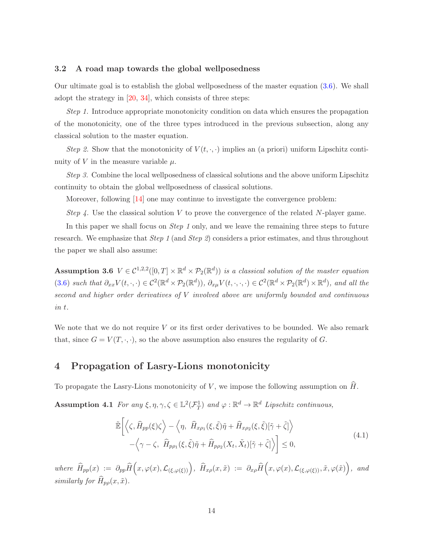#### <span id="page-13-4"></span>3.2 A road map towards the global wellposedness

Our ultimate goal is to establish the global wellposedness of the master equation [\(3.6\)](#page-11-2). We shall adopt the strategy in [\[20,](#page-30-10) [34\]](#page-31-6), which consists of three steps:

*Step 1.* Introduce appropriate monotonicity condition on data which ensures the propagation of the monotonicity, one of the three types introduced in the previous subsection, along any classical solution to the master equation.

*Step 2.* Show that the monotonicity of  $V(t, \cdot, \cdot)$  implies an (a priori) uniform Lipschitz continuity of V in the measure variable  $\mu$ .

*Step 3.* Combine the local wellposedness of classical solutions and the above uniform Lipschitz continuity to obtain the global wellposedness of classical solutions.

Moreover, following  $[14]$  one may continue to investigate the convergence problem:

*Step 4.* Use the classical solution V to prove the convergence of the related N-player game.

<span id="page-13-1"></span>In this paper we shall focus on *Step 1* only, and we leave the remaining three steps to future research. We emphasize that *Step 1* (and *Step 2*) considers a prior estimates, and thus throughout the paper we shall also assume:

Assumption 3.6  $V \in \mathcal{C}^{1,2,2}([0,T] \times \mathbb{R}^d \times \mathcal{P}_2(\mathbb{R}^d))$  is a classical solution of the master equation  $(3.6)$  *such that*  $\partial_{xx} V(t, \cdot, \cdot) \in C^2(\mathbb{R}^d \times \mathcal{P}_2(\mathbb{R}^d))$ ,  $\partial_{x\mu} V(t, \cdot, \cdot, \cdot) \in C^2(\mathbb{R}^d \times \mathcal{P}_2(\mathbb{R}^d) \times \mathbb{R}^d)$ , and all the *second and higher order derivatives of* V *involved above are uniformly bounded and continuous in* t*.*

We note that we do not require  $V$  or its first order derivatives to be bounded. We also remark that, since  $G = V(T, \cdot, \cdot)$ , so the above assumption also ensures the regularity of G.

## <span id="page-13-0"></span>4 Propagation of Lasry-Lions monotonicity

To propagate the Lasry-Lions monotonicity of V, we impose the following assumption on  $\widehat{H}$ .

Assumption 4.1 *For any*  $\xi, \eta, \gamma, \zeta \in \mathbb{L}^2(\mathcal{F}_T^1)$  *and*  $\varphi : \mathbb{R}^d \to \mathbb{R}^d$  *Lipschitz continuous,* 

<span id="page-13-3"></span><span id="page-13-2"></span>
$$
\tilde{\mathbb{E}}\left[\left\langle \zeta, \widehat{H}_{pp}(\xi)\zeta\right\rangle - \left\langle \eta, \widehat{H}_{x\rho_1}(\xi,\tilde{\xi})\tilde{\eta} + \widehat{H}_{x\rho_2}(\xi,\tilde{\xi})[\tilde{\gamma} + \tilde{\zeta}]\right\rangle \right] \n- \left\langle \gamma - \zeta, \widehat{H}_{p\rho_1}(\xi,\tilde{\xi})\tilde{\eta} + \widehat{H}_{p\rho_2}(X_t,\tilde{X}_t)[\tilde{\gamma} + \tilde{\zeta}]\right\rangle \right] \leq 0,
$$
\n(4.1)

 $where \ \widehat{H}_{pp}(x) := \partial_{pp} \widehat{H}\Big(x, \varphi(x), \mathcal{L}_{(\xi, \varphi(\xi))}\Big), \ \widehat{H}_{xp}(x, \tilde{x}) := \partial_{x\rho} \widehat{H}\Big(x, \varphi(x), \mathcal{L}_{(\xi, \varphi(\xi))}, \tilde{x}, \varphi(\tilde{x})\Big), \ and$ *similarly for*  $\widehat{H}_{p\rho}(x, \tilde{x})$ *.*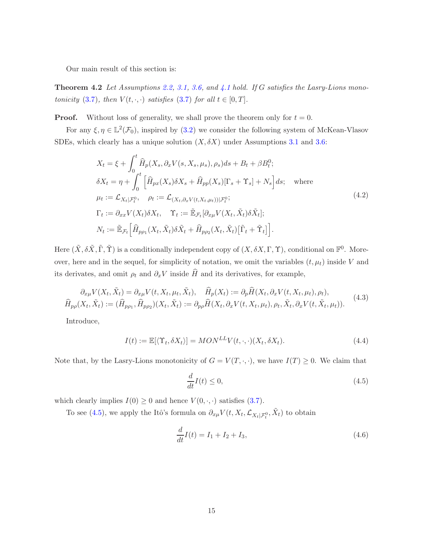<span id="page-14-3"></span>Our main result of this section is:

Theorem 4.2 *Let Assumptions [2.2,](#page-5-1) [3.1,](#page-11-3) [3.6,](#page-13-1) and [4.1](#page-13-2) hold. If* G *satisfies the Lasry-Lions monotonicity* [\(3.7\)](#page-12-2)*, then*  $V(t, \cdot, \cdot)$  *satisfies* (3.7) *for all*  $t \in [0, T]$ *.* 

**Proof.** Without loss of generality, we shall prove the theorem only for  $t = 0$ .

For any  $\xi, \eta \in \mathbb{L}^2(\mathcal{F}_0)$ , inspired by [\(3.2\)](#page-11-0) we consider the following system of McKean-Vlasov SDEs, which clearly has a unique solution  $(X, \delta X)$  under Assumptions [3.1](#page-11-3) and [3.6:](#page-13-1)

<span id="page-14-2"></span>
$$
X_t = \xi + \int_0^t \hat{H}_p(X_s, \partial_x V(s, X_s, \mu_s), \rho_s) ds + B_t + \beta B_t^0;
$$
  
\n
$$
\delta X_t = \eta + \int_0^t \left[ \hat{H}_{px}(X_s) \delta X_s + \hat{H}_{pp}(X_s) [\Gamma_s + \Upsilon_s] + N_s \right] ds; \text{ where}
$$
  
\n
$$
\mu_t := \mathcal{L}_{X_t | \mathcal{F}_t^0}, \quad \rho_t := \mathcal{L}_{(X_t, \partial_x V(t, X_t, \mu_t)) | \mathcal{F}_t^0};
$$
  
\n
$$
\Gamma_t := \partial_{xx} V(X_t) \delta X_t, \quad \Upsilon_t := \tilde{\mathbb{E}}_{\mathcal{F}_t} [\partial_{x\mu} V(X_t, \tilde{X}_t) \delta \tilde{X}_t];
$$
  
\n
$$
N_t := \tilde{\mathbb{E}}_{\mathcal{F}_t} \left[ \hat{H}_{pp_1}(X_t, \tilde{X}_t) \delta \tilde{X}_t + \hat{H}_{pp_2}(X_t, \tilde{X}_t) [\tilde{\Gamma}_t + \tilde{\Upsilon}_t] \right].
$$
\n(4.2)

Here  $(\tilde{X}, \delta\tilde{X}, \tilde{\Gamma}, \tilde{\Upsilon})$  is a conditionally independent copy of  $(X, \delta X, \Gamma, \Upsilon)$ , conditional on  $\mathbb{F}^0$ . Moreover, here and in the sequel, for simplicity of notation, we omit the variables  $(t, \mu_t)$  inside V and its derivates, and omit  $\rho_t$  and  $\partial_x V$  inside  $\widehat{H}$  and its derivatives, for example,

$$
\partial_{x\mu} V(X_t, \tilde{X}_t) = \partial_{x\mu} V(t, X_t, \mu_t, \tilde{X}_t), \quad \widehat{H}_p(X_t) := \partial_p \widehat{H}(X_t, \partial_x V(t, X_t, \mu_t), \rho_t), \n\widehat{H}_{p\rho}(X_t, \tilde{X}_t) := (\widehat{H}_{p\rho_1}, \widehat{H}_{p\rho_2})(X_t, \tilde{X}_t) := \partial_{p\rho} \widehat{H}(X_t, \partial_x V(t, X_t, \mu_t), \rho_t, \tilde{X}_t, \partial_x V(t, \tilde{X}_t, \mu_t)).
$$
\n(4.3)

Introduce,

$$
I(t) := \mathbb{E}[\langle \Upsilon_t, \delta X_t \rangle] = MON^{LL}V(t, \cdot, \cdot)(X_t, \delta X_t). \tag{4.4}
$$

Note that, by the Lasry-Lions monotonicity of  $G = V(T, \cdot, \cdot)$ , we have  $I(T) \geq 0$ . We claim that

<span id="page-14-0"></span>
$$
\frac{d}{dt}I(t) \le 0,\t\t(4.5)
$$

which clearly implies  $I(0) \geq 0$  and hence  $V(0, \cdot, \cdot)$  satisfies [\(3.7\)](#page-12-2).

To see [\(4.5\)](#page-14-0), we apply the Itô's formula on  $\partial_{x\mu} V(t, X_t, \mathcal{L}_{X_t|\mathcal{F}_t^0}, \tilde{X}_t)$  to obtain

<span id="page-14-1"></span>
$$
\frac{d}{dt}I(t) = I_1 + I_2 + I_3,\t\t(4.6)
$$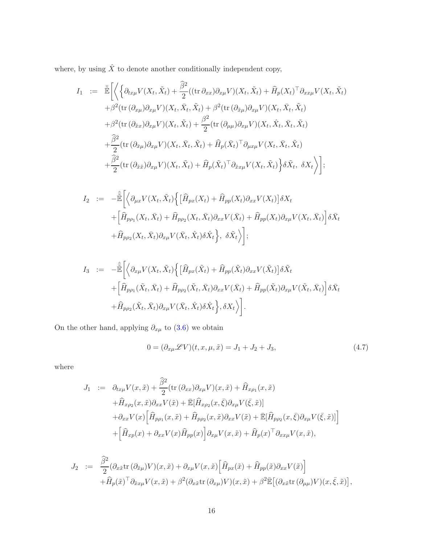where, by using  $\hat{X}$  to denote another conditionally independent copy,

$$
I_{1} := \tilde{\mathbb{E}} \Biggl[ \Biggl\langle \Biggl\{ \partial_{tx\mu} V(X_{t}, \tilde{X}_{t}) + \frac{\hat{\beta}^{2}}{2} ((\text{tr } \partial_{xx}) \partial_{x\mu} V)(X_{t}, \tilde{X}_{t}) + \hat{H}_{p}(X_{t})^{\top} \partial_{xx\mu} V(X_{t}, \tilde{X}_{t}) + \beta^{2} (\text{tr } (\partial_{x\mu}) \partial_{x\mu} V)(X_{t}, \bar{X}_{t}, \tilde{X}_{t}) + \beta^{2} (\text{tr } (\partial_{\tilde{x}\mu}) \partial_{x\mu} V)(X_{t}, \bar{X}_{t}, \tilde{X}_{t}) + \beta^{2} (\text{tr } (\partial_{\tilde{x}x}) \partial_{x\mu} V)(X_{t}, \tilde{X}_{t}) + \frac{\beta^{2}}{2} (\text{tr } (\partial_{\mu\mu}) \partial_{x\mu} V)(X_{t}, \hat{X}_{t}, \bar{X}_{t}, \tilde{X}_{t}) + \frac{\hat{\beta}^{2}}{2} (\text{tr } (\partial_{\tilde{x}\mu}) \partial_{x\mu} V)(X_{t}, \bar{X}_{t}, \tilde{X}_{t}) + \hat{H}_{p}(\bar{X}_{t})^{\top} \partial_{\mu x\mu} V(X_{t}, \bar{X}_{t}, \tilde{X}_{t}) + \frac{\hat{\beta}^{2}}{2} (\text{tr } (\partial_{\tilde{x}\tilde{x}}) \partial_{x\mu} V)(X_{t}, \tilde{X}_{t}) + \hat{H}_{p}(\tilde{X}_{t})^{\top} \partial_{\tilde{x}x\mu} V(X_{t}, \tilde{X}_{t}) \Biggr\rbrace \delta \tilde{X}_{t}, \delta X_{t} \Biggr\rbrace ;
$$

$$
I_2 := -\hat{\tilde{\mathbb{E}}} \Bigg[ \Big\langle \partial_{\mu x} V(X_t, \tilde{X}_t) \Big\{ \Big[ \hat{H}_{px}(X_t) + \hat{H}_{pp}(X_t) \partial_{xx} V(X_t) \Big] \delta X_t + \Big[ \hat{H}_{pp_1}(X_t, \bar{X}_t) + \hat{H}_{pp_2}(X_t, \bar{X}_t) \partial_{xx} V(\bar{X}_t) + \hat{H}_{pp}(X_t) \partial_{x\mu} V(X_t, \bar{X}_t) \Big] \delta \bar{X}_t + \hat{H}_{pp_2}(X_t, \bar{X}_t) \partial_{x\mu} V(\bar{X}_t, \hat{X}_t) \delta \hat{X}_t \Bigg\}, \delta \tilde{X}_t \Bigg\};
$$

$$
I_3 := -\hat{\tilde{\mathbb{E}}} \Bigg[ \Big\langle \partial_{x\mu} V(X_t, \tilde{X}_t) \Big\{ \Big[ \hat{H}_{px}(\tilde{X}_t) + \hat{H}_{pp}(\tilde{X}_t) \partial_{xx} V(\tilde{X}_t) \Big] \delta \tilde{X}_t + \Big[ \hat{H}_{pp_1}(\tilde{X}_t, \bar{X}_t) + \hat{H}_{pp_2}(\tilde{X}_t, \bar{X}_t) \partial_{xx} V(\bar{X}_t) + \hat{H}_{pp}(\tilde{X}_t) \partial_{x\mu} V(\tilde{X}_t, \bar{X}_t) \Big] \delta \bar{X}_t + \hat{H}_{pp_2}(\tilde{X}_t, \bar{X}_t) \partial_{x\mu} V(\bar{X}_t, \hat{X}_t) \delta \hat{X}_t \Bigg\}, \delta X_t \Bigg\rbrace.
$$

On the other hand, applying  $\partial_{x\mu}$  to [\(3.6\)](#page-11-2) we obtain

<span id="page-15-0"></span>
$$
0 = (\partial_{x\mu} \mathcal{L} V)(t, x, \mu, \tilde{x}) = J_1 + J_2 + J_3,
$$
\n(4.7)

where

$$
J_1 := \partial_{tx\mu} V(x, \tilde{x}) + \frac{\hat{\beta}^2}{2} (\text{tr}(\partial_{xx}) \partial_{x\mu} V)(x, \tilde{x}) + \hat{H}_{x\rho_1}(x, \tilde{x}) + \hat{H}_{x\rho_2}(x, \tilde{x}) \partial_{xx} V(\tilde{x}) + \mathbb{E}[\hat{H}_{x\rho_2}(x, \bar{\xi}) \partial_{x\mu} V(\bar{\xi}, \tilde{x})] + \partial_{xx} V(x) \Big[ \hat{H}_{p\rho_1}(x, \tilde{x}) + \hat{H}_{p\rho_2}(x, \tilde{x}) \partial_{xx} V(\tilde{x}) + \mathbb{E}[\hat{H}_{p\rho_2}(x, \bar{\xi}) \partial_{x\mu} V(\bar{\xi}, \tilde{x})] \Big] + \Big[ \hat{H}_{x\rho}(x) + \partial_{xx} V(x) \hat{H}_{pp}(x) \Big] \partial_{x\mu} V(x, \tilde{x}) + \hat{H}_{p}(x)^\top \partial_{xx\mu} V(x, \tilde{x}),
$$

$$
J_2 := \frac{\widehat{\beta}^2}{2} (\partial_{x\tilde{x}} \text{tr}(\partial_{\tilde{x}\mu}) V)(x, \tilde{x}) + \partial_{x\mu} V(x, \tilde{x}) \Big[ \widehat{H}_{px}(\tilde{x}) + \widehat{H}_{pp}(\tilde{x}) \partial_{xx} V(\tilde{x}) \Big] + \widehat{H}_p(\tilde{x})^\top \partial_{\tilde{x}x\mu} V(x, \tilde{x}) + \beta^2 (\partial_{x\tilde{x}} \text{tr}(\partial_{x\mu}) V)(x, \tilde{x}) + \beta^2 \bar{\mathbb{E}} \big[ (\partial_{x\tilde{x}} \text{tr}(\partial_{\mu\mu}) V)(x, \bar{\xi}, \tilde{x}) \big],
$$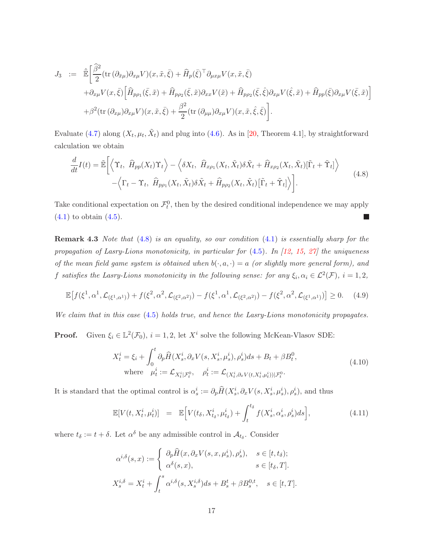$$
J_3 := \hat{\mathbb{E}} \left[ \frac{\hat{\beta}^2}{2} (\text{tr} \, (\partial_{\bar{x}\mu}) \partial_{x\mu} V)(x, \tilde{x}, \bar{\xi}) + \hat{H}_p(\bar{\xi})^\top \partial_{\mu x\mu} V(x, \tilde{x}, \bar{\xi}) + \partial_{x\mu} V(x, \bar{\xi}) \left[ \hat{H}_{p\rho_1}(\bar{\xi}, \tilde{x}) + \hat{H}_{p\rho_2}(\bar{\xi}, \tilde{x}) \partial_{xx} V(\tilde{x}) + \hat{H}_{p\rho_2}(\bar{\xi}, \hat{\xi}) \partial_{x\mu} V(\hat{\xi}, \tilde{x}) + \hat{H}_{pp}(\bar{\xi}) \partial_{x\mu} V(\bar{\xi}, \tilde{x}) \right] + \beta^2 (\text{tr} \, (\partial_{x\mu}) \partial_{x\mu} V)(x, \tilde{x}, \bar{\xi}) + \frac{\beta^2}{2} (\text{tr} \, (\partial_{\mu\mu}) \partial_{x\mu} V)(x, \tilde{x}, \hat{\xi}, \bar{\xi}) \right].
$$

Evaluate [\(4.7\)](#page-15-0) along  $(X_t, \mu_t, \tilde{X}_t)$  and plug into [\(4.6\)](#page-14-1). As in [\[20,](#page-30-10) Theorem 4.1], by straightforward calculation we obtain

<span id="page-16-0"></span>
$$
\frac{d}{dt}I(t) = \tilde{\mathbb{E}}\bigg[\bigg\langle \Upsilon_t, \ \widehat{H}_{pp}(X_t)\Upsilon_t \bigg\rangle - \bigg\langle \delta X_t, \ \widehat{H}_{xp_1}(X_t, \tilde{X}_t)\delta \tilde{X}_t + \widehat{H}_{xp_2}(X_t, \tilde{X}_t)[\tilde{\Gamma}_t + \tilde{\Upsilon}_t]\bigg\rangle - \bigg\langle \Gamma_t - \Upsilon_t, \ \widehat{H}_{pp_1}(X_t, \tilde{X}_t)\delta \tilde{X}_t + \widehat{H}_{pp_2}(X_t, \tilde{X}_t)[\tilde{\Gamma}_t + \tilde{\Upsilon}_t]\bigg\rangle\bigg].
$$
\n(4.8)

Take conditional expectation on  $\mathcal{F}_t^0$ , then by the desired conditional independence we may apply  $(4.1)$  to obtain  $(4.5)$ .  $\Box$ 

Remark 4.3 *Note that* [\(4.8\)](#page-16-0) *is an equality, so our condition* [\(4.1\)](#page-13-3) *is essentially sharp for the propagation of Lasry-Lions monotonicity, in particular for* [\(4.5\)](#page-14-0)*. In [\[12,](#page-29-7) [15,](#page-30-1) [27\]](#page-30-8) the uniqueness of the mean field game system is obtained when*  $b(\cdot, a, \cdot) = a$  *(or slightly more general form), and* f satisfies the Lasry-Lions monotonicity in the following sense: for any  $\xi_i, \alpha_i \in \mathcal{L}^2(\mathcal{F}), i = 1, 2,$ 

<span id="page-16-2"></span>
$$
\mathbb{E}\big[f(\xi^1,\alpha^1,\mathcal{L}_{(\xi^1,\alpha^1)})+f(\xi^2,\alpha^2,\mathcal{L}_{(\xi^2,\alpha^2)})-f(\xi^1,\alpha^1,\mathcal{L}_{(\xi^2,\alpha^2)})-f(\xi^2,\alpha^2,\mathcal{L}_{(\xi^1,\alpha^1)})\big]\geq 0.\tag{4.9}
$$

*We claim that in this case* [\(4.5\)](#page-14-0) *holds true, and hence the Lasry-Lions monotonicity propagates.*

**Proof.** Given  $\xi_i \in \mathbb{L}^2(\mathcal{F}_0)$ ,  $i = 1, 2$ , let  $X^i$  solve the following McKean-Vlasov SDE:

$$
X_t^i = \xi_i + \int_0^t \partial_p \widehat{H}(X_s^i, \partial_x V(s, X_s^i, \mu_s^i), \rho_s^i) ds + B_t + \beta B_t^0,
$$
  
where  $\mu_t^i := \mathcal{L}_{X_t^i | \mathcal{F}_t^0}, \quad \rho_t^i := \mathcal{L}_{(X_t^i, \partial_x V(t, X_t^i, \mu_t^i)) | \mathcal{F}_t^0}.$  (4.10)

It is standard that the optimal control is  $\alpha_s^i := \partial_p \widehat{H}(X_s^i, \partial_x V(s, X_s^i, \mu_s^i), \rho_s^i)$ , and thus

<span id="page-16-1"></span>
$$
\mathbb{E}[V(t, X_t^i, \mu_t^i)] = \mathbb{E}\Big[V(t_\delta, X_{t_\delta}^i, \mu_{t_\delta}^i) + \int_t^{t_\delta} f(X_s^i, \alpha_s^i, \rho_s^i)ds\Big],\tag{4.11}
$$

where  $t_{\delta} := t + \delta$ . Let  $\alpha^{\delta}$  be any admissible control in  $\mathcal{A}_{t_{\delta}}$ . Consider

$$
\alpha^{i,\delta}(s,x) := \begin{cases}\n\partial_p \widehat{H}(x, \partial_x V(s, x, \mu_s^i), \rho_s^i), & s \in [t, t_\delta); \\
\alpha^\delta(s, x), & s \in [t_\delta, T].\n\end{cases}
$$
\n
$$
X_s^{i,\delta} = X_t^i + \int_t^s \alpha^{i,\delta}(s, X_s^{i,\delta}) ds + B_s^t + \beta B_s^{0,t}, \quad s \in [t, T].
$$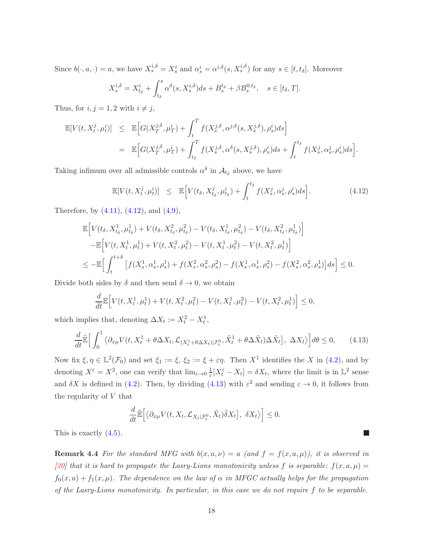Since  $b(\cdot, a, \cdot) = a$ , we have  $X_s^{i, \delta} = X_s^i$  and  $\alpha_s^i = \alpha^{i, \delta}(s, X_s^{i, \delta})$  for any  $s \in [t, t_\delta]$ . Moreover

$$
X_s^{i,\delta} = X_{t_\delta}^i + \int_{t_\delta}^s \alpha^\delta(s, X_s^{i,\delta}) ds + B_s^{t_\delta} + \beta B_s^{0,t_\delta}, \quad s \in [t_\delta, T].
$$

Thus, for  $i, j = 1, 2$  with  $i \neq j$ ,

$$
\mathbb{E}[V(t, X_t^j, \mu_t^i)] \leq \mathbb{E}\Big[G(X_T^{j,\delta}, \mu_T^i) + \int_t^T f(X_s^{j,\delta}, \alpha^{j,\delta}(s, X_s^{j,\delta}), \rho_s^i)ds\Big]
$$
  

$$
= \mathbb{E}\Big[G(X_T^{j,\delta}, \mu_T^i) + \int_{t_\delta}^T f(X_s^{j,\delta}, \alpha^\delta(s, X_s^{j,\delta}), \rho_s^i)ds + \int_t^{t_\delta} f(X_s^j, \alpha_s^j, \rho_s^i)ds\Big].
$$

Taking infimum over all admissible controls  $\alpha^{\delta}$  in  $\mathcal{A}_{t_{\delta}}$  above, we have

<span id="page-17-0"></span>
$$
\mathbb{E}[V(t, X_t^j, \mu_t^i)] \leq \mathbb{E}\Big[V(t_\delta, X_{t_\delta}^j, \mu_{t_\delta}^i) + \int_t^{t_\delta} f(X_s^j, \alpha_s^j, \rho_s^i) ds\Big]. \tag{4.12}
$$

Therefore, by [\(4.11\)](#page-16-1), [\(4.12\)](#page-17-0), and [\(4.9\)](#page-16-2),

$$
\mathbb{E}\Big[V(t_{\delta}, X_{t_{\delta}}^1, \mu_{t_{\delta}}^1) + V(t_{\delta}, X_{t_{\delta}}^2, \mu_{t_{\delta}}^2) - V(t_{\delta}, X_{t_{\delta}}^1, \mu_{t_{\delta}}^2) - V(t_{\delta}, X_{t_{\delta}}^2, \mu_{t_{\delta}}^1)\Big] \n- \mathbb{E}\Big[V(t, X_t^1, \mu_t^1) + V(t, X_t^2, \mu_t^2) - V(t, X_t^1, \mu_t^2) - V(t, X_t^2, \mu_t^1)\Big] \n\leq - \mathbb{E}\Big[\int_t^{t+\delta} \Big[f(X_s^1, \alpha_s^1, \rho_s^1) + f(X_s^2, \alpha_s^2, \rho_s^2) - f(X_s^1, \alpha_s^1, \rho_s^2) - f(X_s^2, \alpha_s^2, \rho_s^1)\Big]ds\Big] \leq 0.
$$

Divide both sides by  $\delta$  and then send  $\delta \to 0$ , we obtain

$$
\frac{d}{dt}\mathbb{E}\Big[V(t, X_t^1, \mu_t^1) + V(t, X_t^2, \mu_t^2) - V(t, X_t^1, \mu_t^2) - V(t, X_t^2, \mu_t^1)\Big] \le 0,
$$

which implies that, denoting  $\Delta X_t := X_t^2 - X_t^1$ ,

<span id="page-17-1"></span>
$$
\frac{d}{dt}\tilde{\mathbb{E}}\Big[\int_0^1 \left\langle \partial_{x\mu} V(t, X_t^1 + \theta \Delta X_t, \mathcal{L}_{(X_t^1 + \theta \Delta X_t)|\mathcal{F}_t^0}, \tilde{X}_t^1 + \theta \Delta \tilde{X}_t \right\rangle \Delta \tilde{X}_t], \ \Delta X_t \right\} d\theta \le 0, \qquad (4.13)
$$

Now fix  $\xi, \eta \in \mathbb{L}^2(\mathcal{F}_0)$  and set  $\xi_1 := \xi, \xi_2 := \xi + \varepsilon \eta$ . Then  $X^1$  identifies the X in [\(4.2\)](#page-14-2), and by denoting  $X^{\varepsilon} = X^2$ , one can verify that  $\lim_{\varepsilon \to 0} \frac{1}{\varepsilon} [X_t^{\varepsilon} - X_t] = \delta X_t$ , where the limit is in  $\mathbb{L}^2$  sense and  $\delta X$  is defined in [\(4.2\)](#page-14-2). Then, by dividing [\(4.13\)](#page-17-1) with  $\varepsilon^2$  and sending  $\varepsilon \to 0$ , it follows from the regularity of  $V$  that

$$
\frac{d}{dt}\tilde{\mathbb{E}}\Big[\big\langle \partial_{x\mu}V(t,X_t,\mathcal{L}_{X_t|\mathcal{F}_t^0},\tilde{X}_t)\tilde{\delta}X_t\Big],\ \delta X_t\big\rangle\Big]\leq 0.
$$

This is exactly [\(4.5\)](#page-14-0).

**Remark 4.4** For the standard MFG with  $b(x, a, \nu) = a$  (and  $f = f(x, a, \mu)$ ), it is observed in [\[20\]](#page-30-10) that it is hard to propagate the Lasry-Lions monotonicity unless f is separable:  $f(x, a, \mu) =$  $f_0(x, a) + f_1(x, \mu)$ *. The dependence on the law of*  $\alpha$  *in MFGC actually helps for the propagation of the Lasry-Lions monotonicity. In particular, in this case we do not require* f *to be separable.*

 $\overline{\phantom{a}}$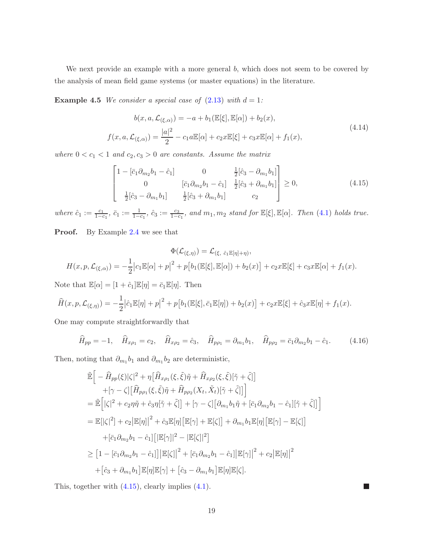We next provide an example with a more general b, which does not seem to be covered by the analysis of mean field game systems (or master equations) in the literature.

**Example 4.5** *We consider a special case of*  $(2.13)$  *with*  $d = 1$ *:* 

$$
b(x, a, \mathcal{L}_{(\xi, \alpha)}) = -a + b_1(\mathbb{E}[\xi], \mathbb{E}[\alpha]) + b_2(x),
$$
  

$$
f(x, a, \mathcal{L}_{(\xi, \alpha)}) = \frac{|a|^2}{2} - c_1 a \mathbb{E}[\alpha] + c_2 x \mathbb{E}[\xi] + c_3 x \mathbb{E}[\alpha] + f_1(x),
$$
\n(4.14)

*where*  $0 < c_1 < 1$  *and*  $c_2, c_3 > 0$  *are constants. Assume the matrix* 

<span id="page-18-0"></span>
$$
\begin{bmatrix}\n1 - \left[\bar{c}_1 \partial_{m_2} b_1 - \hat{c}_1\right] & 0 & \frac{1}{2} \left[\hat{c}_3 - \partial_{m_1} b_1\right] \\
0 & \left[\bar{c}_1 \partial_{m_2} b_1 - \hat{c}_1\right] & \frac{1}{2} \left[\hat{c}_3 + \partial_{m_1} b_1\right] \\
\frac{1}{2} \left[\hat{c}_3 - \partial_{m_1} b_1\right] & \frac{1}{2} \left[\hat{c}_3 + \partial_{m_1} b_1\right] & c_2\n\end{bmatrix} \ge 0,
$$
\n(4.15)

 $where \hat{c}_1 := \frac{c_1}{1-c_1}, \bar{c}_1 := \frac{1}{1-c_1}, \hat{c}_3 := \frac{c_3}{1-c_1}, and \, m_1, m_2 \, stand \, for \, \mathbb{E}[\xi], \mathbb{E}[\alpha].$  Then [\(4.1\)](#page-13-3) *holds true.* 

Proof. By Example [2.4](#page-7-2) we see that

$$
\Phi(\mathcal{L}_{(\xi,\eta)}) = \mathcal{L}_{(\xi, \hat{c}_1 \mathbb{E}[\eta]+\eta)},
$$
  

$$
H(x, p, \mathcal{L}_{(\xi,\alpha)}) = -\frac{1}{2} |c_1 \mathbb{E}[\alpha] + p|^2 + p [b_1(\mathbb{E}[\xi], \mathbb{E}[\alpha]) + b_2(x)] + c_2 x \mathbb{E}[\xi] + c_3 x \mathbb{E}[\alpha] + f_1(x).
$$

Note that  $\mathbb{E}[\alpha] = [1 + \hat{c}_1] \mathbb{E}[\eta] = \bar{c}_1 \mathbb{E}[\eta]$ . Then

$$
\widehat{H}(x, p, \mathcal{L}_{(\xi, \eta)}) = -\frac{1}{2} |\hat{c}_1 \mathbb{E}[\eta] + p|^2 + p [b_1(\mathbb{E}[\xi], \bar{c}_1 \mathbb{E}[\eta]) + b_2(x)] + c_2 x \mathbb{E}[\xi] + \hat{c}_3 x \mathbb{E}[\eta] + f_1(x).
$$

One may compute straightforwardly that

$$
\widehat{H}_{pp} = -1, \quad \widehat{H}_{x\rho_1} = c_2, \quad \widehat{H}_{x\rho_2} = \widehat{c}_3, \quad \widehat{H}_{p\rho_1} = \partial_{m_1}b_1, \quad \widehat{H}_{p\rho_2} = \overline{c}_1\partial_{m_2}b_1 - \widehat{c}_1. \tag{4.16}
$$

Then, noting that  $\partial_{m_1}b_1$  and  $\partial_{m_1}b_2$  are deterministic,

$$
\tilde{\mathbb{E}}\Big[-\hat{H}_{pp}(\xi)|\zeta|^{2} + \eta\Big[\hat{H}_{x\rho_{1}}(\xi,\tilde{\xi})\tilde{\eta} + \hat{H}_{x\rho_{2}}(\xi,\tilde{\xi})[\tilde{\gamma} + \tilde{\zeta}]\Big] \n+[\gamma - \zeta]\Big[\hat{H}_{p\rho_{1}}(\xi,\tilde{\xi})\tilde{\eta} + \hat{H}_{p\rho_{2}}(X_{t},\tilde{X}_{t})[\tilde{\gamma} + \tilde{\zeta}]\Big] \n= \tilde{\mathbb{E}}\Big[|\zeta|^{2} + c_{2}\eta\tilde{\eta} + \hat{c}_{3}\eta[\tilde{\gamma} + \tilde{\zeta}]\Big] + [\gamma - \zeta]\Big[\partial_{m_{1}}b_{1}\tilde{\eta} + [\bar{c}_{1}\partial_{m_{2}}b_{1} - \hat{c}_{1}][\tilde{\gamma} + \tilde{\zeta}]\Big] \n= \mathbb{E}[\zeta|^{2}] + c_{2}|\mathbb{E}[\eta] |^{2} + \hat{c}_{3}\mathbb{E}[\eta][\mathbb{E}[\gamma] + \mathbb{E}[\zeta]] + \partial_{m_{1}}b_{1}\mathbb{E}[\eta][\mathbb{E}[\gamma] - \mathbb{E}[\zeta]\Big] \n+ [\bar{c}_{1}\partial_{m_{2}}b_{1} - \hat{c}_{1}][[\mathbb{E}[\gamma] |^{2} - |\mathbb{E}[\zeta]|^{2}] \n\geq [1 - [\bar{c}_{1}\partial_{m_{2}}b_{1} - \hat{c}_{1}]]|\mathbb{E}[\zeta] |^{2} + [\bar{c}_{1}\partial_{m_{2}}b_{1} - \hat{c}_{1}][\mathbb{E}[\gamma] |^{2} + c_{2}|\mathbb{E}[\eta] |^{2} \n+ [\hat{c}_{3} + \partial_{m_{1}}b_{1}]\mathbb{E}[\eta]\mathbb{E}[\gamma] + [\hat{c}_{3} - \partial_{m_{1}}b_{1}]\mathbb{E}[\eta]\mathbb{E}[\zeta].
$$

This, together with [\(4.15\)](#page-18-0), clearly implies [\(4.1\)](#page-13-3).

 $\mathcal{L}_{\mathcal{A}}$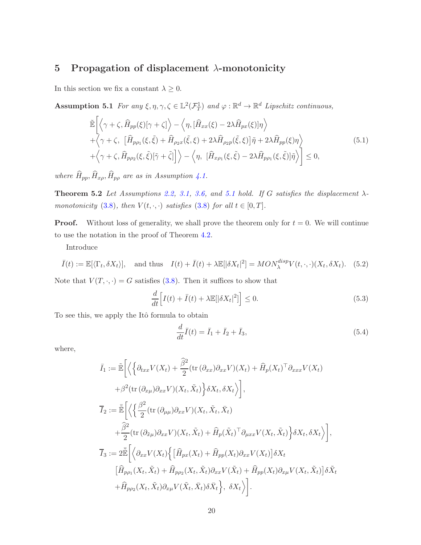# <span id="page-19-0"></span>5 Propagation of displacement  $\lambda$ -monotonicity

<span id="page-19-1"></span>In this section we fix a constant  $\lambda \geq 0$ .

Assumption 5.1 *For any*  $\xi, \eta, \gamma, \zeta \in \mathbb{L}^2(\mathcal{F}_T^1)$  *and*  $\varphi : \mathbb{R}^d \to \mathbb{R}^d$  *Lipschitz continuous,* 

<span id="page-19-3"></span>
$$
\tilde{\mathbb{E}}\left[\left\langle \gamma + \zeta, \widehat{H}_{pp}(\xi)[\gamma + \zeta] \right\rangle - \left\langle \eta, [\widehat{H}_{xx}(\xi) - 2\lambda \widehat{H}_{px}(\xi)]\eta \right\rangle \n+ \left\langle \gamma + \zeta, \left[ \widehat{H}_{pp_1}(\xi, \tilde{\xi}) + \widehat{H}_{\rho_2 x}(\tilde{\xi}, \xi) + 2\lambda \widehat{H}_{\rho_2 p}(\tilde{\xi}, \xi) \right] \tilde{\eta} + 2\lambda \widehat{H}_{pp}(\xi)\eta \right\rangle \n+ \left\langle \gamma + \zeta, \widehat{H}_{pp_2}(\xi, \tilde{\xi})[\tilde{\gamma} + \tilde{\zeta}] \right] \right\rangle - \left\langle \eta, \left[ \widehat{H}_{x\rho_1}(\xi, \tilde{\xi}) - 2\lambda \widehat{H}_{pp_1}(\xi, \tilde{\xi}) \right] \tilde{\eta} \right\rangle \right] \leq 0,
$$
\n(5.1)

<span id="page-19-4"></span>*where*  $\widehat{H}_{pp}, \widehat{H}_{x\rho}, \widehat{H}_{p\rho}$  *are as in Assumption [4.1.](#page-13-2)* 

**Theorem 5.2** *Let Assumptions* [2.2,](#page-5-1) [3.1,](#page-11-3) [3.6,](#page-13-1) and [5.1](#page-19-1) hold. If G satisfies the displacement  $\lambda$ *monotonicity* [\(3.8\)](#page-12-1)*, then*  $V(t, \cdot, \cdot)$  *satisfies* (3.8) *for all*  $t \in [0, T]$ *.* 

**Proof.** Without loss of generality, we shall prove the theorem only for  $t = 0$ . We will continue to use the notation in the proof of Theorem [4.2.](#page-14-3)

Introduce

$$
\bar{I}(t) := \mathbb{E}[\langle \Gamma_t, \delta X_t \rangle], \quad \text{and thus} \quad I(t) + \bar{I}(t) + \lambda \mathbb{E}[\langle \delta X_t |^2] = MON_{\lambda}^{disp} V(t, \cdot, \cdot) (X_t, \delta X_t). \tag{5.2}
$$

Note that  $V(T, \cdot, \cdot) = G$  satisfies [\(3.8\)](#page-12-1). Then it suffices to show that

<span id="page-19-2"></span>
$$
\frac{d}{dt}\Big[I(t) + \bar{I}(t) + \lambda \mathbb{E}[|\delta X_t|^2]\Big] \le 0.
$$
\n(5.3)

To see this, we apply the Itô formula to obtain

$$
\frac{d}{dt}\bar{I}(t) = \bar{I}_1 + \bar{I}_2 + \bar{I}_3,\tag{5.4}
$$

where,

$$
\bar{I}_{1} := \tilde{\mathbb{E}} \bigg[ \bigg\langle \bigg\{ \partial_{txx} V(X_{t}) + \frac{\hat{\beta}^{2}}{2} (\text{tr} \, (\partial_{xx}) \partial_{xx} V)(X_{t}) + \hat{H}_{p}(X_{t})^{\top} \partial_{xxx} V(X_{t}) \bigg\} + \beta^{2} (\text{tr} \, (\partial_{x\mu}) \partial_{xx} V)(X_{t}, \tilde{X}_{t}) \bigg\} \delta X_{t}, \delta X_{t} \bigg\rangle \bigg],
$$
\n
$$
\bar{I}_{2} := \tilde{\mathbb{E}} \bigg[ \bigg\langle \bigg\{ \frac{\beta^{2}}{2} (\text{tr} \, (\partial_{\mu\mu}) \partial_{xx} V)(X_{t}, \tilde{X}_{t}, \bar{X}_{t}) \bigg\} + \frac{\hat{\beta}^{2}}{2} (\text{tr} \, (\partial_{\tilde{x}\mu}) \partial_{xx} V)(X_{t}, \tilde{X}_{t}) + \hat{H}_{p}(\tilde{X}_{t})^{\top} \partial_{\mu xx} V(X_{t}, \tilde{X}_{t}) \bigg\} \delta X_{t}, \delta X_{t} \bigg\rangle \bigg],
$$
\n
$$
\bar{I}_{3} := 2 \tilde{\mathbb{E}} \bigg[ \bigg\langle \partial_{xx} V(X_{t}) \bigg\{ \big[ \hat{H}_{px}(X_{t}) + \hat{H}_{pp}(X_{t}) \partial_{xx} V(X_{t}) \big] \delta X_{t}
$$
\n
$$
\big[ \hat{H}_{pp_{1}}(X_{t}, \tilde{X}_{t}) + \hat{H}_{pp_{2}}(X_{t}, \tilde{X}_{t}) \partial_{xx} V(\tilde{X}_{t}) + \hat{H}_{pp}(X_{t}) \partial_{x\mu} V(X_{t}, \tilde{X}_{t}) \bigg] \delta \tilde{X}_{t}
$$
\n
$$
+ \hat{H}_{pp_{2}}(X_{t}, \tilde{X}_{t}) \partial_{x\mu} V(\tilde{X}_{t}, \bar{X}_{t}) \delta \bar{X}_{t} \bigg\}, \delta X_{t} \bigg\rangle \bigg].
$$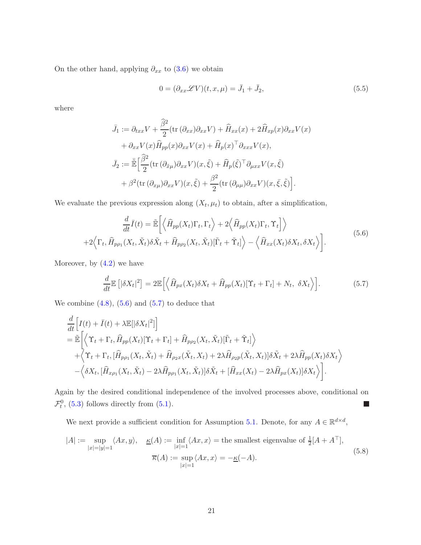On the other hand, applying  $\partial_{xx}$  to [\(3.6\)](#page-11-2) we obtain

$$
0 = (\partial_{xx} \mathscr{L} V)(t, x, \mu) = \bar{J}_1 + \bar{J}_2,
$$
\n(5.5)

where

$$
\bar{J}_1 := \partial_{txx} V + \frac{\hat{\beta}^2}{2} (\text{tr} (\partial_{xx}) \partial_{xx} V) + \hat{H}_{xx}(x) + 2\hat{H}_{xp}(x) \partial_{xx} V(x) \n+ \partial_{xx} V(x) \hat{H}_{pp}(x) \partial_{xx} V(x) + \hat{H}_p(x)^\top \partial_{xxx} V(x),
$$
\n
$$
\bar{J}_2 := \tilde{\mathbb{E}} \Big[ \frac{\hat{\beta}^2}{2} (\text{tr} (\partial_{\tilde{x}\mu}) \partial_{xx} V)(x, \tilde{\xi}) + \hat{H}_p(\tilde{\xi})^\top \partial_{\mu xx} V(x, \tilde{\xi}) \n+ \beta^2 (\text{tr} (\partial_{x\mu}) \partial_{xx} V)(x, \tilde{\xi}) + \frac{\beta^2}{2} (\text{tr} (\partial_{\mu\mu}) \partial_{xx} V)(x, \tilde{\xi}, \tilde{\xi}) \Big].
$$

We evaluate the previous expression along  $(X_t, \mu_t)$  to obtain, after a simplification,

<span id="page-20-0"></span>
$$
\frac{d}{dt}\bar{I}(t) = \tilde{\mathbb{E}}\left[ \left\langle \hat{H}_{pp}(X_t)\Gamma_t, \Gamma_t \right\rangle + 2\left\langle \hat{H}_{pp}(X_t)\Gamma_t, \Upsilon_t \right\rangle \right] \rangle + 2\left\langle \Gamma_t, \hat{H}_{pp_1}(X_t, \tilde{X}_t)\delta\tilde{X}_t + \hat{H}_{pp_2}(X_t, \tilde{X}_t)[\tilde{\Gamma}_t + \tilde{\Upsilon}_t] \right\rangle - \left\langle \hat{H}_{xx}(X_t)\delta X_t, \delta X_t \right\rangle \right].
$$
\n(5.6)

Moreover, by  $(4.2)$  we have

<span id="page-20-1"></span>
$$
\frac{d}{dt}\mathbb{E}\left[|\delta X_t|^2\right] = 2\mathbb{E}\left[\left\langle\widehat{H}_{px}(X_t)\delta X_t + \widehat{H}_{pp}(X_t)[\Upsilon_t + \Gamma_t] + N_t, \ \delta X_t\right\rangle\right].\tag{5.7}
$$

We combine  $(4.8)$ ,  $(5.6)$  and  $(5.7)$  to deduce that

$$
\frac{d}{dt} \Big[ I(t) + \bar{I}(t) + \lambda \mathbb{E}[\delta X_t]^2] \Big] \n= \tilde{\mathbb{E}} \Big[ \Big\langle \Upsilon_t + \Gamma_t, \hat{H}_{pp}(X_t) [\Upsilon_t + \Gamma_t] + \hat{H}_{pp_2}(X_t, \tilde{X}_t) [\tilde{\Gamma}_t + \tilde{\Upsilon}_t] \Big\rangle \n+ \Big\langle \Upsilon_t + \Gamma_t, [\hat{H}_{pp_1}(X_t, \tilde{X}_t) + \hat{H}_{\rho_2 x}(\tilde{X}_t, X_t) + 2\lambda \hat{H}_{\rho_2 p}(\tilde{X}_t, X_t)] \delta \tilde{X}_t + 2\lambda \hat{H}_{pp}(X_t) \delta X_t \Big\rangle \n- \Big\langle \delta X_t, [\hat{H}_{x\rho_1}(X_t, \tilde{X}_t) - 2\lambda \hat{H}_{pp_1}(X_t, \tilde{X}_t)] \delta \tilde{X}_t + [\hat{H}_{xx}(X_t) - 2\lambda \hat{H}_{px}(X_t)] \delta X_t \Big\rangle \Big].
$$

Again by the desired conditional independence of the involved processes above, conditional on  $\mathcal{F}_t^0$ , [\(5.3\)](#page-19-2) follows directly from [\(5.1\)](#page-19-3).  $\overline{\phantom{a}}$ 

We next provide a sufficient condition for Assumption [5.1.](#page-19-1) Denote, for any  $A \in \mathbb{R}^{d \times d}$ ,

<span id="page-20-3"></span><span id="page-20-2"></span>
$$
|A| := \sup_{|x|=|y|=1} \langle Ax, y \rangle, \quad \underline{\kappa}(A) := \inf_{|x|=1} \langle Ax, x \rangle = \text{the smallest eigenvalue of } \frac{1}{2}[A + A^{\top}],
$$
  

$$
\overline{\kappa}(A) := \sup_{|x|=1} \langle Ax, x \rangle = -\underline{\kappa}(-A).
$$
 (5.8)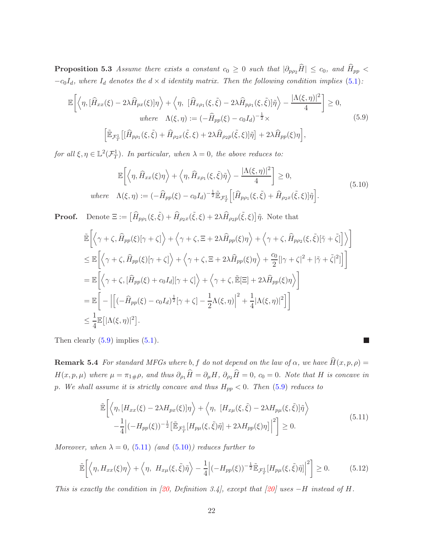**Proposition 5.3** *Assume there exists a constant*  $c_0 \geq 0$  *such that*  $|\partial_{p\rho_2}\hat{H}| \leq c_0$ *, and*  $\hat{H}_{pp}$  <  $-c_0I_d$ , where  $I_d$  denotes the  $d \times d$  *identity matrix. Then the following condition implies* [\(5.1\)](#page-19-3):

<span id="page-21-0"></span>
$$
\mathbb{E}\left[\left\langle \eta, [\hat{H}_{xx}(\xi) - 2\lambda \hat{H}_{px}(\xi)]\eta \right\rangle + \left\langle \eta, [\hat{H}_{x\rho_1}(\xi, \tilde{\xi}) - 2\lambda \hat{H}_{p\rho_1}(\xi, \tilde{\xi})]\tilde{\eta} \right\rangle - \frac{|\Lambda(\xi, \eta)|^2}{4} \right] \ge 0,
$$
\nwhere\n
$$
\Lambda(\xi, \eta) := \left(-\hat{H}_{pp}(\xi) - c_0 I_d\right)^{-\frac{1}{2}} \times \left[\tilde{\mathbb{E}}_{\mathcal{F}_T^1}\left[ [\hat{H}_{pp_1}(\xi, \tilde{\xi}) + \hat{H}_{\rho_2 x}(\tilde{\xi}, \xi) + 2\lambda \hat{H}_{\rho_2 p}(\tilde{\xi}, \xi)]\tilde{\eta}\right] + 2\lambda \hat{H}_{pp}(\xi)\eta\right],
$$
\n(5.9)

*for all*  $\xi, \eta \in \mathbb{L}^2(\mathcal{F}_T^1)$ *. In particular, when*  $\lambda = 0$ *, the above reduces to:* 

<span id="page-21-2"></span>
$$
\mathbb{E}\left[\left\langle \eta, \widehat{H}_{xx}(\xi)\eta\right\rangle + \left\langle \eta, \widehat{H}_{x\rho_1}(\xi,\tilde{\xi})\tilde{\eta}\right\rangle - \frac{|\Lambda(\xi,\eta)|^2}{4}\right] \ge 0,
$$
\nwhere  $\Lambda(\xi,\eta) := (-\widehat{H}_{pp}(\xi) - c_0 I_d)^{-\frac{1}{2}} \widetilde{\mathbb{E}}_{\mathcal{F}_{T}^{1}}\left[ [\widehat{H}_{pp_1}(\xi,\tilde{\xi}) + \widehat{H}_{\rho_2x}(\tilde{\xi},\xi)]\tilde{\eta} \right].$ \n
$$
(5.10)
$$

**Proof.** Denote  $\Xi := \left[\widehat{H}_{p\rho_1}(\xi, \tilde{\xi}) + \widehat{H}_{\rho_2 x}(\tilde{\xi}, \xi) + 2\lambda \widehat{H}_{\rho_2 p}(\tilde{\xi}, \xi)\right]\tilde{\eta}$ . Note that

$$
\tilde{\mathbb{E}}\left[\left\langle \gamma + \zeta, \widehat{H}_{pp}(\xi)[\gamma + \zeta] \right\rangle + \left\langle \gamma + \zeta, \Xi + 2\lambda \widehat{H}_{pp}(\xi)\eta \right\rangle + \left\langle \gamma + \zeta, \widehat{H}_{pp2}(\xi, \tilde{\xi})[\tilde{\gamma} + \tilde{\zeta}] \right\rangle \right] \n\leq \mathbb{E}\left[\left\langle \gamma + \zeta, \widehat{H}_{pp}(\xi)[\gamma + \zeta] \right\rangle + \left\langle \gamma + \zeta, \Xi + 2\lambda \widehat{H}_{pp}(\xi)\eta \right\rangle + \frac{c_0}{2} [|\gamma + \zeta|^2 + |\tilde{\gamma} + \tilde{\zeta}|^2] \right]\right] \n= \mathbb{E}\left[\left\langle \gamma + \zeta, [\widehat{H}_{pp}(\xi) + c_0 I_d][\gamma + \zeta] \right\rangle + \left\langle \gamma + \zeta, \widetilde{\mathbb{E}}[\Xi] + 2\lambda \widehat{H}_{pp}(\xi)\eta \right\rangle \right] \n= \mathbb{E}\left[-\left| \left[ (-\widehat{H}_{pp}(\xi) - c_0 I_d)^{\frac{1}{2}} [\gamma + \zeta] - \frac{1}{2} \Lambda(\xi, \eta) \right|^2 + \frac{1}{4} |\Lambda(\xi, \eta)|^2 \right] \right] \n\leq \frac{1}{4} \mathbb{E}\left[ |\Lambda(\xi, \eta)|^2 \right].
$$

Then clearly  $(5.9)$  implies  $(5.1)$ .

**Remark 5.4** *For standard MFGs where b*, *f do not depend on the law of*  $\alpha$ *, we have*  $\widehat{H}(x, p, \rho) =$  $H(x, p, \mu)$  where  $\mu = \pi_{1\#}\rho$ , and thus  $\partial_{\rho_1}\hat{H} = \partial_{\mu}H$ ,  $\partial_{\rho_2}\hat{H} = 0$ ,  $c_0 = 0$ . Note that H is concave in p. We shall assume it is strictly concave and thus  $H_{pp} < 0$ . Then  $(5.9)$  *reduces to* 

<span id="page-21-1"></span>
$$
\tilde{\mathbb{E}}\left[\left\langle \eta, [H_{xx}(\xi) - 2\lambda H_{px}(\xi)]\eta \right\rangle + \left\langle \eta, [H_{x\mu}(\xi, \tilde{\xi}) - 2\lambda H_{p\mu}(\xi, \tilde{\xi})]\tilde{\eta} \right\rangle - \frac{1}{4} \left| (-H_{pp}(\xi))^{-\frac{1}{2}} [\tilde{\mathbb{E}}_{\mathcal{F}_T^1}[H_{p\mu}(\xi, \tilde{\xi})\tilde{\eta}] + 2\lambda H_{pp}(\xi)\eta] \right|^2 \right] \ge 0.
$$
\n(5.11)

 $\Box$ 

*Moreover, when*  $\lambda = 0$ , [\(5.11\)](#page-21-1) *(and* [\(5.10\)](#page-21-2)*) reduces further to* 

$$
\tilde{\mathbb{E}}\left[\left\langle \eta, H_{xx}(\xi)\eta\right\rangle + \left\langle \eta, H_{x\mu}(\xi,\tilde{\xi})\tilde{\eta}\right\rangle - \frac{1}{4}\left|(-H_{pp}(\xi))^{-\frac{1}{2}}\tilde{\mathbb{E}}_{\mathcal{F}_T^1}[H_{p\mu}(\xi,\tilde{\xi})\tilde{\eta}]\right|^2\right] \ge 0.
$$
 (5.12)

*This is exactly the condition in [\[20,](#page-30-10) Definition 3.4], except that [\[20\]](#page-30-10) uses* −H *instead of* H*.*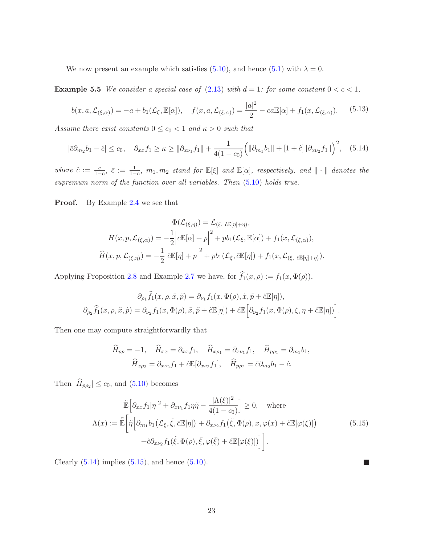<span id="page-22-2"></span>We now present an example which satisfies [\(5.10\)](#page-21-2), and hence [\(5.1\)](#page-19-3) with  $\lambda = 0$ .

**Example 5.5** *We consider a special case of* [\(2.13\)](#page-7-1) *with*  $d = 1$ *: for some constant*  $0 < c < 1$ *,* 

$$
b(x, a, \mathcal{L}_{(\xi, \alpha)}) = -a + b_1(\mathcal{L}_{\xi}, \mathbb{E}[\alpha]), \quad f(x, a, \mathcal{L}_{(\xi, \alpha)}) = \frac{|a|^2}{2} - ca\mathbb{E}[\alpha] + f_1(x, \mathcal{L}_{(\xi, \alpha)}).
$$
 (5.13)

*Assume there exist constants*  $0 \leq c_0 < 1$  *and*  $\kappa > 0$  *such that* 

<span id="page-22-0"></span>
$$
|\bar{c}\partial_{m_2}b_1 - \hat{c}| \le c_0, \quad \partial_{xx}f_1 \ge \kappa \ge ||\partial_{x\nu_1}f_1|| + \frac{1}{4(1-c_0)} \Big(||\partial_{m_1}b_1|| + [1+\hat{c}]||\partial_{x\nu_2}f_1||\Big)^2, \quad (5.14)
$$

 $where \hat{c} := \frac{c}{1-c}, \bar{c} := \frac{1}{1-c}, m_1, m_2$  *stand for*  $\mathbb{E}[\xi]$  *and*  $\mathbb{E}[\alpha]$ *, respectively, and*  $\|\cdot\|$  *denotes the supremum norm of the function over all variables. Then* [\(5.10\)](#page-21-2) *holds true.*

Proof. By Example [2.4](#page-7-2) we see that

$$
\Phi(\mathcal{L}_{(\xi,\eta)}) = \mathcal{L}_{(\xi, \partial \mathbb{E}[\eta]+\eta)},
$$

$$
H(x, p, \mathcal{L}_{(\xi,\alpha)}) = -\frac{1}{2} \Big| c \mathbb{E}[\alpha] + p \Big|^2 + pb_1(\mathcal{L}_{\xi}, \mathbb{E}[\alpha]) + f_1(x, \mathcal{L}_{(\xi,\alpha)}),
$$

$$
\widehat{H}(x, p, \mathcal{L}_{(\xi,\eta)}) = -\frac{1}{2} \Big| c \mathbb{E}[\eta] + p \Big|^2 + pb_1(\mathcal{L}_{\xi}, \partial \mathbb{E}[\eta]) + f_1(x, \mathcal{L}_{(\xi, \partial \mathbb{E}[\eta]+\eta)}).
$$

Applying Proposition [2.8](#page-8-3) and Example [2.7](#page-8-4) we have, for  $f_1(x, \rho) := f_1(x, \Phi(\rho)),$ 

$$
\partial_{\rho_1} \widehat{f}_1(x,\rho,\tilde{x},\tilde{p}) = \partial_{\nu_1} f_1(x,\Phi(\rho),\tilde{x},\tilde{p} + \partial \mathbb{E}[\eta]),
$$
  

$$
\partial_{\rho_2} \widehat{f}_1(x,\rho,\tilde{x},\tilde{p}) = \partial_{\nu_2} f_1(x,\Phi(\rho),\tilde{x},\tilde{p} + \partial \mathbb{E}[\eta]) + \partial \mathbb{E} \Big[ \partial_{\nu_2} f_1(x,\Phi(\rho),\xi,\eta + \partial \mathbb{E}[\eta]) \Big].
$$

Then one may compute straightforwardly that

$$
\widehat{H}_{pp} = -1, \quad \widehat{H}_{xx} = \partial_{xx} f_1, \quad \widehat{H}_{x\rho_1} = \partial_{x\nu_1} f_1, \quad \widehat{H}_{p\rho_1} = \partial_{m_1} b_1,
$$

$$
\widehat{H}_{x\rho_2} = \partial_{x\nu_2} f_1 + \widehat{c} \mathbb{E}[\partial_{x\nu_2} f_1], \quad \widehat{H}_{p\rho_2} = \overline{c} \partial_{m_2} b_1 - \widehat{c}.
$$

Then  $|H_{p\rho_2}| \leq c_0$ , and  $(5.10)$  becomes

<span id="page-22-1"></span>
$$
\tilde{\mathbb{E}}\left[\partial_{xx}f_1|\eta|^2 + \partial_{x\nu_1}f_1\eta\tilde{\eta} - \frac{|\Lambda(\xi)|^2}{4(1 - c_0)}\right] \ge 0, \quad \text{where}
$$
\n
$$
\Lambda(x) := \tilde{\mathbb{E}}\left[\tilde{\eta}\left[\partial_{m_1}b_1(\mathcal{L}_{\xi}, \tilde{\xi}, \bar{c}\mathbb{E}[\eta]) + \partial_{x\nu_2}f_1(\tilde{\xi}, \Phi(\rho), x, \varphi(x) + \hat{c}\mathbb{E}[\varphi(\xi)]\right) + \hat{c}\partial_{x\nu_2}f_1(\tilde{\xi}, \Phi(\rho), \bar{\xi}, \varphi(\bar{\xi}) + \hat{c}\mathbb{E}[\varphi(\xi)])\right].
$$
\n(5.15)

 $\mathcal{L}_{\mathcal{A}}$ 

Clearly  $(5.14)$  implies  $(5.15)$ , and hence  $(5.10)$ .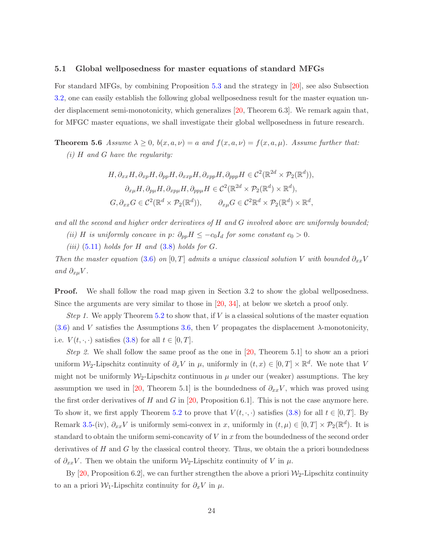#### <span id="page-23-0"></span>5.1 Global wellposedness for master equations of standard MFGs

For standard MFGs, by combining Proposition [5.3](#page-20-2) and the strategy in [\[20\]](#page-30-10), see also Subsection [3.2,](#page-13-4) one can easily establish the following global wellposedness result for the master equation un-der displacement semi-monotonicity, which generalizes [\[20,](#page-30-10) Theorem 6.3]. We remark again that, for MFGC master equations, we shall investigate their global wellposedness in future research.

<span id="page-23-1"></span>**Theorem 5.6** *Assume*  $\lambda \geq 0$ *,*  $b(x, a, \nu) = a$  *and*  $f(x, a, \nu) = f(x, a, \mu)$ *. Assume further that:* 

*(i)* H *and* G *have the regularity:*

$$
H, \partial_{xx}H, \partial_{xp}H, \partial_{pp}H, \partial_{xxp}H, \partial_{xpp}H, \partial_{ppp}H \in C^2(\mathbb{R}^{2d} \times \mathcal{P}_2(\mathbb{R}^d)),
$$
  

$$
\partial_{x\mu}H, \partial_{p\mu}H, \partial_{xp\mu}H, \partial_{pp\mu}H \in C^2(\mathbb{R}^{2d} \times \mathcal{P}_2(\mathbb{R}^d) \times \mathbb{R}^d),
$$
  

$$
G, \partial_{xx}G \in C^2(\mathbb{R}^d \times \mathcal{P}_2(\mathbb{R}^d)), \qquad \partial_{x\mu}G \in C^2\mathbb{R}^d \times \mathcal{P}_2(\mathbb{R}^d) \times \mathbb{R}^d,
$$

*and all the second and higher order derivatives of* H *and* G *involved above are uniformly bounded;*

*(ii) H is uniformly concave in p:*  $\partial_{pp}H \leq -c_0I_d$  *for some constant*  $c_0 > 0$ *.* 

 $(iii)$  [\(5.11\)](#page-21-1) *holds for* H and  $(3.8)$  *holds for* G.

*Then the master equation* [\(3.6\)](#page-11-2) *on* [0, T] *admits a unique classical solution* V *with bounded*  $\partial_{xx}V$ *and*  $\partial_{x\mu}V$ .

Proof. We shall follow the road map given in Section 3.2 to show the global wellposedness. Since the arguments are very similar to those in [\[20,](#page-30-10) [34\]](#page-31-6), at below we sketch a proof only.

*Step 1.* We apply Theorem [5.2](#page-19-4) to show that, if  $V$  is a classical solutions of the master equation  $(3.6)$  and V satisfies the Assumptions [3.6,](#page-13-1) then V propagates the displacement  $\lambda$ -monotonicity, i.e.  $V(t, \cdot, \cdot)$  satisfies [\(3.8\)](#page-12-1) for all  $t \in [0, T]$ .

*Step 2.* We shall follow the same proof as the one in [\[20,](#page-30-10) Theorem 5.1] to show an a priori uniform  $\mathcal{W}_2$ -Lipschitz continuity of  $\partial_x V$  in  $\mu$ , uniformly in  $(t, x) \in [0, T] \times \mathbb{R}^d$ . We note that V might not be uniformly  $W_2$ -Lipschitz continuous in  $\mu$  under our (weaker) assumptions. The key assumption we used in [\[20,](#page-30-10) Theorem 5.1] is the boundedness of  $\partial_{xx}V$ , which was proved using the first order derivatives of H and G in [\[20,](#page-30-10) Proposition 6.1]. This is not the case anymore here. To show it, we first apply Theorem [5.2](#page-19-4) to prove that  $V(t, \cdot, \cdot)$  satisfies [\(3.8\)](#page-12-1) for all  $t \in [0, T]$ . By Remark [3.5-](#page-12-3)(iv),  $\partial_{xx}V$  is uniformly semi-convex in x, uniformly in  $(t,\mu) \in [0,T] \times \mathcal{P}_2(\mathbb{R}^d)$ . It is standard to obtain the uniform semi-concavity of  $V$  in  $x$  from the boundedness of the second order derivatives of H and G by the classical control theory. Thus, we obtain the a priori boundedness of  $\partial_{xx}V$ . Then we obtain the uniform  $\mathcal{W}_2$ -Lipschitz continuity of V in  $\mu$ .

By [\[20,](#page-30-10) Proposition 6.2], we can further strengthen the above a priori  $\mathcal{W}_2$ -Lipschitz continuity to an a priori W<sub>1</sub>-Lipschitz continuity for  $\partial_x V$  in  $\mu$ .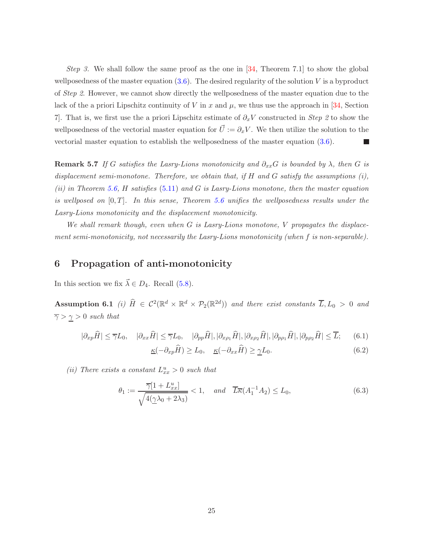*Step 3.* We shall follow the same proof as the one in [\[34,](#page-31-6) Theorem 7.1] to show the global wellposedness of the master equation  $(3.6)$ . The desired regularity of the solution V is a byproduct of *Step 2*. However, we cannot show directly the wellposedness of the master equation due to the lack of the a priori Lipschitz continuity of V in x and  $\mu$ , we thus use the approach in [\[34,](#page-31-6) Section 7]. That is, we first use the a priori Lipschitz estimate of  $\partial_x V$  constructed in *Step 2* to show the wellposedness of the vectorial master equation for  $\vec{U} := \partial_x V$ . We then utilize the solution to the vectorial master equation to establish the wellposedness of the master equation [\(3.6\)](#page-11-2).

**Remark 5.7** *If* G satisfies the Lasry-Lions monotonicity and  $\partial_{xx}G$  is bounded by  $\lambda$ *, then* G is *displacement semi-monotone. Therefore, we obtain that, if* H *and* G *satisfy the assumptions (i), (ii) in Theorem [5.6,](#page-23-1)* H *satisfies* [\(5.11\)](#page-21-1) *and* G *is Lasry-Lions monotone, then the master equation is wellposed on* [0, T]*. In this sense, Theorem [5.6](#page-23-1) unifies the wellposedness results under the Lasry-Lions monotonicity and the displacement monotonicity.*

*We shall remark though, even when* G *is Lasry-Lions monotone,* V *propagates the displacement semi-monotonicity, not necessarily the Lasry-Lions monotonicity (when* f *is non-separable).*

## <span id="page-24-0"></span>6 Propagation of anti-monotonicity

<span id="page-24-1"></span>In this section we fix  $\vec{\lambda} \in D_4$ . Recall [\(5.8\)](#page-20-3).

Assumption 6.1 *(i)*  $\hat{H} \in C^2(\mathbb{R}^d \times \mathbb{R}^d \times \mathcal{P}_2(\mathbb{R}^{2d}))$  and there exist constants  $\overline{L}, L_0 > 0$  and  $\overline{\gamma} > \underline{\gamma} > 0$  *such that* 

<span id="page-24-2"></span>
$$
|\partial_{xp}\widehat{H}| \le \overline{\gamma}L_0, \quad |\partial_{xx}\widehat{H}| \le \overline{\gamma}L_0, \quad |\partial_{pp}\widehat{H}|, |\partial_{x\rho_1}\widehat{H}|, |\partial_{x\rho_2}\widehat{H}|, |\partial_{p\rho_1}\widehat{H}|, |\partial_{p\rho_2}\widehat{H}| \le \overline{L};\tag{6.1}
$$

$$
\underline{\kappa}(-\partial_{xp}\widehat{H}) \ge L_0, \quad \underline{\kappa}(-\partial_{xx}\widehat{H}) \ge \underline{\gamma}L_0. \tag{6.2}
$$

(*ii*) There exists a constant  $L_{xx}^u > 0$  such that

<span id="page-24-3"></span>
$$
\theta_1 := \frac{\overline{\gamma}[1 + L_{xx}^u]}{\sqrt{4(\underline{\gamma}\lambda_0 + 2\lambda_3)}} < 1, \quad \text{and} \quad \overline{L}\overline{\kappa}(A_1^{-1}A_2) \le L_0,\tag{6.3}
$$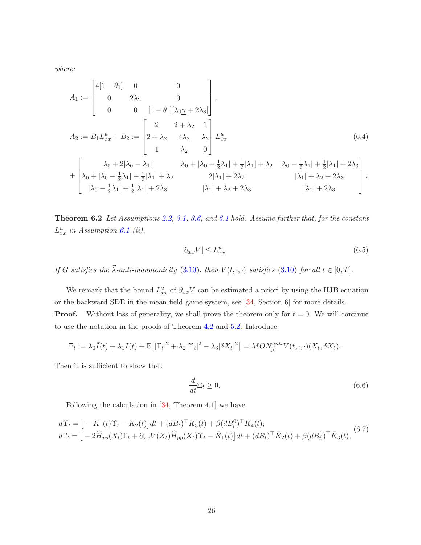*where:*

<span id="page-25-0"></span>
$$
A_{1} := \begin{bmatrix} 4[1 - \theta_{1}] & 0 & 0 \\ 0 & 2\lambda_{2} & 0 \\ 0 & 0 & [1 - \theta_{1}][\lambda_{0}\gamma + 2\lambda_{3}] \end{bmatrix},
$$
  
\n
$$
A_{2} := B_{1}L_{xx}^{u} + B_{2} := \begin{bmatrix} 2 & 2 + \lambda_{2} & 1 \\ 2 + \lambda_{2} & 4\lambda_{2} & \lambda_{2} \\ 1 & \lambda_{2} & 0 \end{bmatrix} L_{xx}^{u}
$$
(6.4)  
\n
$$
+ \begin{bmatrix} \lambda_{0} + 2|\lambda_{0} - \lambda_{1}| & \lambda_{0} + |\lambda_{0} - \frac{1}{2}\lambda_{1}| + \frac{1}{2}|\lambda_{1}| + \lambda_{2} & |\lambda_{0} - \frac{1}{2}\lambda_{1}| + \frac{1}{2}|\lambda_{1}| + 2\lambda_{3} \\ |\lambda_{0} - \frac{1}{2}\lambda_{1}| + \frac{1}{2}|\lambda_{1}| + \lambda_{2} & 2|\lambda_{1}| + 2\lambda_{2} & |\lambda_{1}| + \lambda_{2} + 2\lambda_{3} \\ |\lambda_{0} - \frac{1}{2}\lambda_{1}| + \frac{1}{2}|\lambda_{1}| + 2\lambda_{3} & |\lambda_{1}| + \lambda_{2} + 2\lambda_{3} & |\lambda_{1}| + 2\lambda_{3} \end{bmatrix}.
$$

Theorem 6.2 *Let Assumptions [2.2,](#page-5-1) [3.1,](#page-11-3) [3.6,](#page-13-1) and [6.1](#page-24-1) hold. Assume further that, for the constant*  $L_{xx}^{u}$  in Assumption [6.1](#page-24-1) (ii),

<span id="page-25-1"></span>
$$
|\partial_{xx} V| \le L_{xx}^u. \tag{6.5}
$$

*If* G satisfies the  $\vec{\lambda}$ -anti-monotonicity [\(3.10\)](#page-12-0), then  $V(t, \cdot, \cdot)$  satisfies (3.10) for all  $t \in [0, T]$ .

We remark that the bound  $L_{xx}^u$  of  $\partial_{xx}V$  can be estimated a priori by using the HJB equation or the backward SDE in the mean field game system, see [\[34,](#page-31-6) Section 6] for more details. **Proof.** Without loss of generality, we shall prove the theorem only for  $t = 0$ . We will continue to use the notation in the proofs of Theorem [4.2](#page-14-3) and [5.2.](#page-19-4) Introduce:

$$
\Xi_t := \lambda_0 \overline{I}(t) + \lambda_1 I(t) + \mathbb{E}\big[|\Gamma_t|^2 + \lambda_2|\Upsilon_t|^2 - \lambda_3|\delta X_t|^2\big] = MON_{\overline{\lambda}}^{anti}V(t,\cdot,\cdot)(X_t, \delta X_t).
$$

Then it is sufficient to show that

$$
\frac{d}{dt}\Xi_t \ge 0.\tag{6.6}
$$

Following the calculation in [\[34,](#page-31-6) Theorem 4.1] we have

$$
d\Upsilon_t = \left[ -K_1(t)\Upsilon_t - K_2(t) \right] dt + (dB_t)^{\top} K_3(t) + \beta (dB_t^0)^{\top} K_4(t);
$$
  
\n
$$
d\Gamma_t = \left[ -2\hat{H}_{xp}(X_t)\Gamma_t + \partial_{xx}V(X_t)\hat{H}_{pp}(X_t)\Upsilon_t - \bar{K}_1(t) \right] dt + (dB_t)^{\top} \bar{K}_2(t) + \beta (dB_t^0)^{\top} \bar{K}_3(t),
$$
\n(6.7)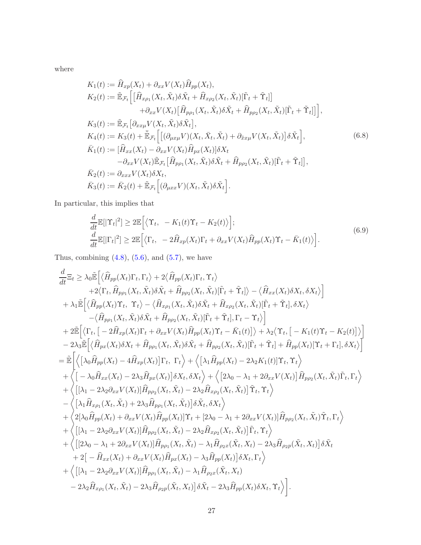where

<span id="page-26-0"></span>
$$
K_1(t) := \hat{H}_{xp}(X_t) + \partial_{xx} V(X_t) \hat{H}_{pp}(X_t),
$$
  
\n
$$
K_2(t) := \mathbb{E}_{\mathcal{F}_t} \Big[ \Big[ \hat{H}_{x\rho_1}(X_t, \tilde{X}_t) \delta \tilde{X}_t + \hat{H}_{x\rho_2}(X_t, \tilde{X}_t) [\tilde{\Gamma}_t + \tilde{\Upsilon}_t] \Big] \n+ \partial_{xx} V(X_t) \Big[ \hat{H}_{p\rho_1}(X_t, \tilde{X}_t) \delta \tilde{X}_t + \hat{H}_{p\rho_2}(X_t, \tilde{X}_t) [\tilde{\Gamma}_t + \tilde{\Upsilon}_t] \Big],
$$
  
\n
$$
K_3(t) := \mathbb{E}_{\mathcal{F}_t} \Big[ \partial_{xx\mu} V(X_t, \tilde{X}_t) \delta \tilde{X}_t \Big],
$$
  
\n
$$
K_4(t) := K_3(t) + \mathbb{E}_{\mathcal{F}_t} \Big[ \Big[ (\partial_{\mu x\mu} V)(X_t, \bar{X}_t, \tilde{X}_t) + \partial_{\tilde{x}x\mu} V(X_t, \tilde{X}_t) \Big] \delta \tilde{X}_t \Big],
$$
  
\n
$$
\bar{K}_1(t) := \Big[ \hat{H}_{xx}(X_t) - \partial_{xx} V(X_t) \hat{H}_{px}(X_t) \Big] \delta X_t
$$
  
\n
$$
- \partial_{xx} V(X_t) \mathbb{E}_{\mathcal{F}_t} \Big[ \hat{H}_{pp_1}(X_t, \tilde{X}_t) \delta \tilde{X}_t + \hat{H}_{pp_2}(X_t, \tilde{X}_t) [\tilde{\Gamma}_t + \tilde{\Upsilon}_t] \Big],
$$
  
\n
$$
\bar{K}_2(t) := \partial_{xxx} V(X_t) \delta X_t,
$$
  
\n
$$
\bar{K}_3(t) := \bar{K}_2(t) + \mathbb{E}_{\mathcal{F}_t} \Big[ (\partial_{\mu xx} V)(X_t, \tilde{X}_t) \delta \tilde{X}_t \Big].
$$
  
\n(6.8)

In particular, this implies that

$$
\frac{d}{dt}\mathbb{E}[|\Upsilon_t|^2] \ge 2\mathbb{E}\Big[\big\langle\Upsilon_t, -K_1(t)\Upsilon_t - K_2(t)\big\rangle\Big];\n\frac{d}{dt}\mathbb{E}[|\Gamma_t|^2] \ge 2\mathbb{E}\Big[\big\langle\Gamma_t, -2\hat{H}_{xp}(X_t)\Gamma_t + \partial_{xx}V(X_t)\hat{H}_{pp}(X_t)\Upsilon_t - \bar{K}_1(t)\big\rangle\Big].
$$
\n(6.9)

Thus, combining  $(4.8)$ ,  $(5.6)$ , and  $(5.7)$ , we have

$$
\frac{d}{dt}\Xi_{t} \geq \lambda_{0}\tilde{\mathbb{E}}\Big[\langle\widehat{H}_{pp}(X_{t})\Gamma_{t},\Gamma_{t}\rangle+2\langle\widehat{H}_{pp}(X_{t})\Gamma_{t},\Upsilon_{t}\rangle\\+\lambda_{1}\tilde{\mathbb{E}}\Big[\langle\widehat{H}_{pp}(X_{t},\tilde{X}_{t})\delta\tilde{X}_{t}+\widehat{H}_{pp_{2}}(X_{t},\tilde{X}_{t})[\tilde{\Gamma}_{t}+\tilde{\Upsilon}_{t}]\rangle-\langle\widehat{H}_{xx}(X_{t})\delta X_{t},\delta X_{t}\rangle\Big]\\+\lambda_{1}\tilde{\mathbb{E}}\Big[\langle\widehat{H}_{pp}(X_{t})\Upsilon_{t},\Upsilon_{t}\rangle-\langle\widehat{H}_{xp_{1}}(X_{t},\tilde{X}_{t})\delta\tilde{X}_{t}+\widehat{H}_{xp_{2}}(X_{t},\tilde{X}_{t})[\tilde{\Gamma}_{t}+\tilde{\Upsilon}_{t}],\delta X_{t}\rangle\\-\langle\widehat{H}_{pp_{1}}(X_{t},\tilde{X}_{t})\delta\tilde{X}_{t}+\widehat{H}_{pp_{2}}(X_{t},\tilde{X}_{t})[\tilde{\Gamma}_{t}+\tilde{\Upsilon}_{t}],\Gamma_{t}-\Upsilon_{t}\rangle\Big]\\+\frac{2\tilde{\mathbb{E}}\Big[\langle\Gamma_{t},\left[-2\widehat{H}_{xp}(X_{t})\Gamma_{t}+\partial_{xx}V(X_{t})\widehat{H}_{pp}(X_{t})\Upsilon_{t}-\bar{K}_{1}(t)\right]\rangle+\lambda_{2}\langle\Upsilon_{t},\left[-K_{1}(t)\Upsilon_{t}-K_{2}(t)\right]\rangle\Big]\\-\frac{2\lambda_{3}\tilde{\mathbb{E}}\Big[\langle\widehat{H}_{px}(X_{t})\delta X_{t}+\widehat{H}_{pp_{1}}(X_{t},\tilde{X}_{t})\delta\tilde{X}_{t}+\widehat{H}_{pp_{2}}(X_{t},\tilde{X}_{t})[\tilde{\Gamma}_{t}+\tilde{\Upsilon}_{t}]+\widehat{H}_{pp}(X_{t})[\Upsilon_{t}+\Gamma_{t}],\delta X_{t}\rangle\Big]\\=\tilde{\mathbb{E}}\Big[\Big\langle\left[\lambda_{0}\widehat{H}_{pp}(X_{t})-4\widehat{H}_{xp}(X_{t})\right]\Gamma_{t},\Gamma_{t}\Big\rangle+\Big\langle\left[\lambda_{1}\widehat
$$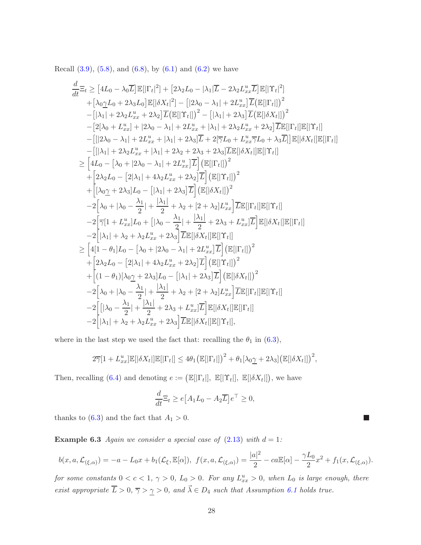Recall  $(3.9)$ ,  $(5.8)$ , and  $(6.8)$ , by  $(6.1)$  and  $(6.2)$  we have

$$
\frac{d}{dt}\Xi_{t} \geq [4L_{0} - \lambda_{0}\overline{L}]\mathbb{E}[\left|\Gamma_{t}\right|^{2}] + [2\lambda_{2}L_{0} - |\lambda_{1}|\overline{L} - 2\lambda_{2}L_{xx}^{u}\overline{L}]\mathbb{E}[\left|\Upsilon_{t}\right|^{2}] \n+ [\lambda_{0}\underline{\gamma}L_{0} + 2\lambda_{3}L_{0}]\mathbb{E}[\left|\delta X_{t}\right|^{2}] - [|2\lambda_{0} - \lambda_{1}| + 2L_{xx}^{u}]\overline{L}[\mathbb{E}[\left|\Gamma_{t}\right|])^{2} \n-[|\lambda_{1}| + 2\lambda_{2}L_{xx}^{u} + 2\lambda_{2}]\overline{L}[\mathbb{E}[\left|\Gamma_{t}\right|])^{2} - [|\lambda_{1}| + 2\lambda_{3}]\overline{L}[\mathbb{E}[\left|\delta X_{t}\right|])^{2} \n-[2[\lambda_{0} + L_{xx}^{u}] + |2\lambda_{0} - \lambda_{1}| + 2L_{xx}^{u} + |\lambda_{1}| + 2\lambda_{2}L_{xx}^{u} + 2\lambda_{2}]\overline{L}\mathbb{E}[\left|\Gamma_{t}\right|\left|\mathbb{E}[\left|\Upsilon_{t}\right|\right] \n-[[[2\lambda_{0} - \lambda_{1}| + 2L_{xx}^{u} + |\lambda_{1}| + 2\lambda_{3}]\overline{L} + 2[\overline{\gamma}L_{0} + L_{xx}^{u}\overline{\gamma}L_{0} + \lambda_{3}\overline{L}]\mathbb{E}[\left|\delta X_{t}\right|\left|\mathbb{E}[\left|\Gamma_{t}\right|\right] \n-[[|\lambda_{1}| + 2\lambda_{2}L_{xx}^{u} + |\lambda_{1}| + 2\lambda_{2} + 2\lambda_{3} + 2\lambda_{3}]\overline{L}\mathbb{E}[\left|\delta X_{t}\right|\left|\mathbb{E}[\left|\Gamma_{t}\right|\right] \n+[2\lambda_{2}L_{0} - [2|\lambda_{1}| + 4\lambda_{2}L_{xx}^{u} + 2\lambda_{2}]\overline{L}][\mathbb{E}[\left|\Gamma_{t}\right|])^{2} \n+ [2\lambda_{2}L_{0} - [2|\lambda_{1}| + 4\lambda_{2}L_{xx}^{u} + 2\lambda_{2}]\over
$$

where in the last step we used the fact that: recalling the  $\theta_1$  in [\(6.3\)](#page-24-3),

$$
2\overline{\gamma}[1+L_{xx}^u]\mathbb{E}[\delta X_t]]\mathbb{E}[\Gamma_t]] \leq 4\theta_1 \big(\mathbb{E}[\Gamma_t]\big)^2 + \theta_1[\lambda_0 \underline{\gamma} + 2\lambda_3] \big(\mathbb{E}[\delta X_t]\big)^2,
$$

Then, recalling [\(6.4\)](#page-25-0) and denoting  $e := (\mathbb{E}[|\Gamma_t|], \mathbb{E}[|\Upsilon_t|], \mathbb{E}[|\delta X_t|]),$  we have

$$
\frac{d}{dt}\Xi_t \ge e\big[A_1L_0 - A_2\overline{L}\big]e^\top \ge 0,
$$

thanks to  $(6.3)$  and the fact that  $A_1 > 0$ .

**Example 6.3** Again we consider a special case of  $(2.13)$  with  $d = 1$ :

$$
b(x, a, \mathcal{L}_{(\xi,\alpha)}) = -a - L_0x + b_1(\mathcal{L}_{\xi}, \mathbb{E}[\alpha]), \ f(x, a, \mathcal{L}_{(\xi,\alpha)}) = \frac{|a|^2}{2} - ca\mathbb{E}[\alpha] - \frac{\gamma L_0}{2}x^2 + f_1(x, \mathcal{L}_{(\xi,\alpha)}).
$$

Г.

*for some constants*  $0 < c < 1$ ,  $\gamma > 0$ ,  $L_0 > 0$ . For any  $L_{xx}^u > 0$ , when  $L_0$  *is large enough, there exist appropriate*  $\overline{L} > 0$ ,  $\overline{\gamma} > \underline{\gamma} > 0$ , and  $\overrightarrow{\lambda} \in D_4$  *such that Assumption [6.1](#page-24-1) holds true.*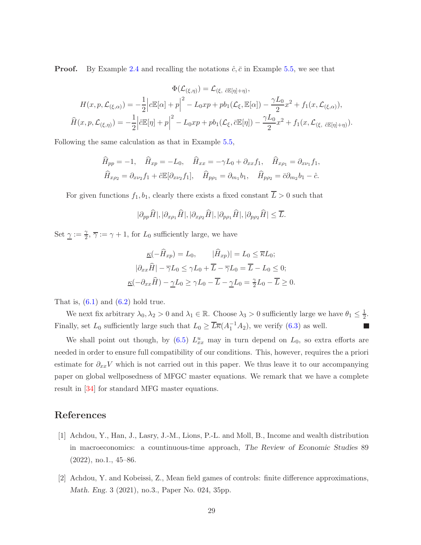**Proof.** By Example [2.4](#page-7-2) and recalling the notations  $\hat{c}$ ,  $\bar{c}$  in Example [5.5,](#page-22-2) we see that

$$
\Phi(\mathcal{L}_{(\xi,\eta)}) = \mathcal{L}_{(\xi,\partial \mathbb{E}[\eta]+\eta)},
$$
  
\n
$$
H(x, p, \mathcal{L}_{(\xi,\alpha)}) = -\frac{1}{2} \Big| c \mathbb{E}[\alpha] + p \Big|^2 - L_0 x p + p b_1(\mathcal{L}_{\xi}, \mathbb{E}[\alpha]) - \frac{\gamma L_0}{2} x^2 + f_1(x, \mathcal{L}_{(\xi,\alpha)}),
$$
  
\n
$$
\widehat{H}(x, p, \mathcal{L}_{(\xi,\eta)}) = -\frac{1}{2} \Big| \widehat{c} \mathbb{E}[\eta] + p \Big|^2 - L_0 x p + p b_1(\mathcal{L}_{\xi}, \overline{c} \mathbb{E}[\eta]) - \frac{\gamma L_0}{2} x^2 + f_1(x, \mathcal{L}_{(\xi,\partial \mathbb{E}[\eta]+\eta)}).
$$

Following the same calculation as that in Example [5.5,](#page-22-2)

$$
\widehat{H}_{pp} = -1, \quad \widehat{H}_{xp} = -L_0, \quad \widehat{H}_{xx} = -\gamma L_0 + \partial_{xx} f_1, \quad \widehat{H}_{xp_1} = \partial_{x\nu_1} f_1,
$$
  

$$
\widehat{H}_{x\rho_2} = \partial_{x\nu_2} f_1 + \widehat{c} \mathbb{E}[\partial_{x\nu_2} f_1], \quad \widehat{H}_{p\rho_1} = \partial_{m_1} b_1, \quad \widehat{H}_{p\rho_2} = \overline{c} \partial_{m_2} b_1 - \widehat{c}.
$$

For given functions  $f_1, b_1$ , clearly there exists a fixed constant  $\overline{L} > 0$  such that

$$
|\partial_{pp}\widehat{H}|, |\partial_{xp_1}\widehat{H}|, |\partial_{xp_2}\widehat{H}|, |\partial_{pp_1}\widehat{H}|, |\partial_{pp_2}\widehat{H}| \leq \overline{L}.
$$

Set  $\gamma := \frac{\gamma}{2}$  $\frac{\gamma}{2}, \overline{\gamma} := \gamma + 1$ , for  $L_0$  sufficiently large, we have

$$
\underline{\kappa}(-\hat{H}_{xp}) = L_0, \qquad |\hat{H}_{xp})| = L_0 \leq \overline{\kappa}L_0;
$$
  

$$
|\partial_{xx}\hat{H}| - \overline{\gamma}L_0 \leq \gamma L_0 + \overline{L} - \overline{\gamma}L_0 = \overline{L} - L_0 \leq 0;
$$
  

$$
\underline{\kappa}(-\partial_{xx}\hat{H}) - \underline{\gamma}L_0 \geq \gamma L_0 - \overline{L} - \underline{\gamma}L_0 = \frac{\gamma}{2}L_0 - \overline{L} \geq 0.
$$

That is,  $(6.1)$  and  $(6.2)$  hold true.

We next fix arbitrary  $\lambda_0, \lambda_2 > 0$  and  $\lambda_1 \in \mathbb{R}$ . Choose  $\lambda_3 > 0$  sufficiently large we have  $\theta_1 \leq \frac{1}{2}$  $rac{1}{2}$ . Finally, set  $L_0$  sufficiently large such that  $L_0 \ge \overline{L\kappa}(A_1^{-1}A_2)$ , we verify [\(6.3\)](#page-24-3) as well.  $\mathcal{L}_{\mathcal{A}}$ 

We shall point out though, by  $(6.5) L_{xx}^u$  may in turn depend on  $L_0$ , so extra efforts are needed in order to ensure full compatibility of our conditions. This, however, requires the a priori estimate for  $\partial_{xx}V$  which is not carried out in this paper. We thus leave it to our accompanying paper on global wellposedness of MFGC master equations. We remark that we have a complete result in [\[34\]](#page-31-6) for standard MFG master equations.

# <span id="page-28-0"></span>References

- [1] Achdou, Y., Han, J., Lasry, J.-M., Lions, P.-L. and Moll, B., Income and wealth distribution in macroeconomics: a countinuous-time approach, The Review of Economic Studies 89 (2022), no.1., 45–86.
- <span id="page-28-1"></span>[2] Achdou, Y. and Kobeissi, Z., Mean field games of controls: finite difference approximations, Math. Eng. 3 (2021), no.3., Paper No. 024, 35pp.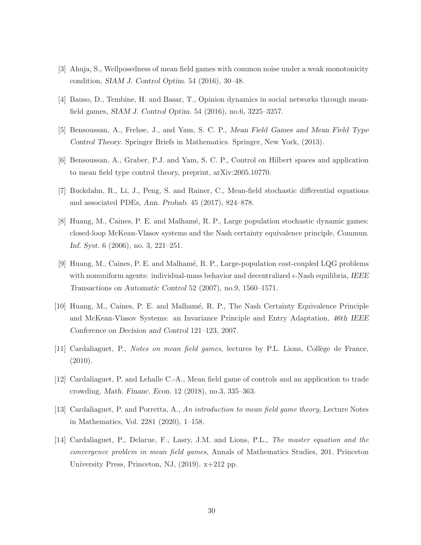- <span id="page-29-8"></span><span id="page-29-3"></span>[3] Ahuja, S., Wellposedness of mean field games with common noise under a weak monotonicity condition, SIAM J. Control Optim. 54 (2016), 30–48.
- <span id="page-29-5"></span>[4] Bauso, D., Tembine, H. and Basar, T., Opinion dynamics in social networks through meanfield games, SIAM J. Control Optim. 54 (2016), no.6, 3225–3257.
- <span id="page-29-9"></span>[5] Bensoussan, A., Frehse, J., and Yam, S. C. P., Mean Field Games and Mean Field Type Control Theory. Springer Briefs in Mathematics. Springer, New York, (2013).
- <span id="page-29-10"></span>[6] Bensoussan, A., Graber, P.J. and Yam, S. C. P., Control on Hilbert spaces and application to mean field type control theory, preprint, arXiv:2005.10770.
- <span id="page-29-0"></span>[7] Buckdahn, R., Li, J., Peng, S. and Rainer, C., Mean-field stochastic differential equations and associated PDEs, Ann. Probab. 45 (2017), 824–878.
- [8] Huang, M., Caines, P. E. and Malhamé, R. P., Large population stochastic dynamic games: closed-loop McKean-Vlasov systems and the Nash certainty equivalence principle, Commun. Inf. Syst. 6 (2006), no. 3, 221–251.
- <span id="page-29-1"></span>[9] Huang, M., Caines, P. E. and Malham´e, R. P., Large-population cost-coupled LQG problems with nonuniform agents: individual-mass behavior and decentralized  $\epsilon$ -Nash equilibria, IEEE Transactions on Automatic Control 52 (2007), no.9, 1560–1571.
- <span id="page-29-2"></span>[10] Huang, M., Caines, P. E. and Malham´e, R. P., The Nash Certainty Equivalence Principle and McKean-Vlasov Systems: an Invariance Principle and Entry Adaptation, 46th IEEE Conference on Decision and Control 121–123, 2007.
- <span id="page-29-7"></span><span id="page-29-4"></span>[11] Cardaliaguet, P., *Notes on mean field games*, lectures by P.L. Lions, Collège de France, (2010).
- <span id="page-29-6"></span>[12] Cardaliaguet, P. and Lehalle C.-A., Mean field game of controls and an application to trade crowding, Math. Financ. Econ. 12 (2018), no.3, 335–363.
- <span id="page-29-11"></span>[13] Cardaliaguet, P. and Porretta, A., *An introduction to mean field game theory*, Lecture Notes in Mathematics, Vol. 2281 (2020), 1–158.
- [14] Cardaliaguet, P., Delarue, F., Lasry, J.M. and Lions, P.L., *The master equation and the convergence problem in mean field games*, Annals of Mathematics Studies, 201. Princeton University Press, Princeton, NJ, (2019). x+212 pp.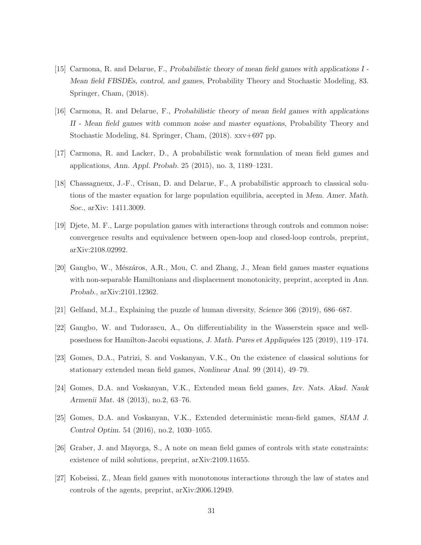- <span id="page-30-1"></span>[15] Carmona, R. and Delarue, F., Probabilistic theory of mean field games with applications I - Mean field FBSDEs, control, and games, Probability Theory and Stochastic Modeling, 83. Springer, Cham, (2018).
- <span id="page-30-2"></span>[16] Carmona, R. and Delarue, F., Probabilistic theory of mean field games with applications II - Mean field games with common noise and master equations, Probability Theory and Stochastic Modeling, 84. Springer, Cham, (2018). xxv+697 pp.
- <span id="page-30-12"></span><span id="page-30-7"></span>[17] Carmona, R. and Lacker, D., A probabilistic weak formulation of mean field games and applications, Ann. Appl. Probab. 25 (2015), no. 3, 1189–1231.
- [18] Chassagneux, J.-F., Crisan, D. and Delarue, F., A probabilistic approach to classical solutions of the master equation for large population equilibria, accepted in Mem. Amer. Math. Soc., arXiv: 1411.3009.
- <span id="page-30-9"></span>[19] Djete, M. F., Large population games with interactions through controls and common noise: convergence results and equivalence between open-loop and closed-loop controls, preprint, arXiv:2108.02992.
- <span id="page-30-10"></span>[20] Gangbo, W., Mészáros, A.R., Mou, C. and Zhang, J., Mean field games master equations with non-separable Hamiltonians and displacement monotonicity, preprint, accepted in Ann. Probab., arXiv:2101.12362.
- <span id="page-30-11"></span><span id="page-30-0"></span>[21] Gelfand, M.J., Explaining the puzzle of human diversity, Science 366 (2019), 686–687.
- <span id="page-30-3"></span>[22] Gangbo, W. and Tudorascu, A., On differentiability in the Wasserstein space and wellposedness for Hamilton-Jacobi equations, J. Math. Pures et Appliquées 125 (2019), 119–174.
- <span id="page-30-5"></span>[23] Gomes, D.A., Patrizi, S. and Voskanyan, V.K., On the existence of classical solutions for stationary extended mean field games, Nonlinear Anal. 99 (2014), 49–79.
- <span id="page-30-6"></span>[24] Gomes, D.A. and Voskanyan, V.K., Extended mean field games, Izv. Nats. Akad. Nauk Armenii Mat. 48 (2013), no.2, 63–76.
- <span id="page-30-4"></span>[25] Gomes, D.A. and Voskanyan, V.K., Extended deterministic mean-field games, SIAM J. Control Optim. 54 (2016), no.2, 1030–1055.
- <span id="page-30-8"></span>[26] Graber, J. and Mayorga, S., A note on mean field games of controls with state constraints: existence of mild solutions, preprint, arXiv:2109.11655.
- [27] Kobeissi, Z., Mean field games with monotonous interactions through the law of states and controls of the agents, preprint, arXiv:2006.12949.